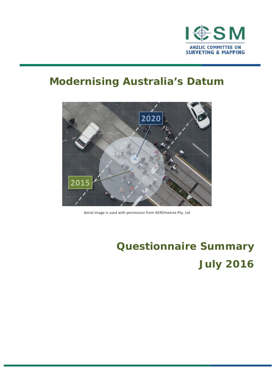

# **Modernising Australia's Datum**



Aerial image is used with permission from AEROmetrex Pty. Ltd

# **Questionnaire Summary July 2016**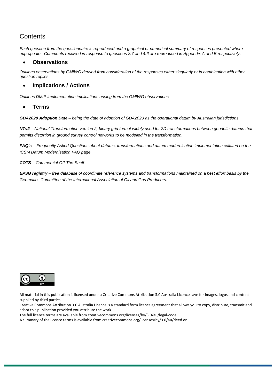# **Contents**

*Each question from the questionnaire is reproduced and a graphical or numerical summary of responses presented where appropriate. Comments received in response to questions 2.7 and 4.6 are reproduced in Appendix A and B respectively.*

#### • **Observations**

*Outlines observations by GMIWG derived from consideration of the responses either singularly or in combination with other question replies.*

#### • **Implications / Actions**

*Outlines DMIP implementation implications arising from the GMIWG observations*

• **Terms**

*GDA2020 Adoption Date – being the date of adoption of GDA2020 as the operational datum by Australian jurisdictions*

*NTv2 – National Transformation version 2, binary grid format widely used for 2D transformations between geodetic datums that permits distortion in ground survey control networks to be modelled in the transformation.*

*FAQ's – Frequently Asked Questions about datums, transformations and datum modernisation implementation collated on the [ICSM Datum Modernisation FAQ page.](http://www.icsm.gov.au/gda2020/faqs-2.html)*

*COTS – Commercial-Off-The-Shelf*

*EPSG registry – free database of coordinate reference systems and transformations maintained on a best effort basis by the Geomatics Committee of the International Association of Oil and Gas Producers.*



All material in this publication is licensed under a Creative Commons Attribution 3.0 Australia Licence save for images, logos and content supplied by third parties.

Creative Commons Attribution 3.0 Australia Licence is a standard form licence agreement that allows you to copy, distribute, transmit and adapt this publication provided you attribute the work.

The full licence terms are available from creativecommons.org/licenses/by/3.0/au/legal-code.

A summary of the licence terms is available from creativecommons.org/licenses/by/3.0/au/deed.en.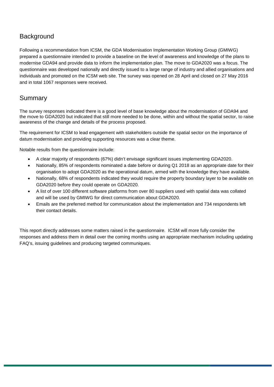# Background

Following a recommendation from ICSM, the GDA Modernisation Implementation Working Group (GMIWG) prepared a questionnaire intended to provide a baseline on the level of awareness and knowledge of the plans to modernise GDA94 and provide data to inform the implementation plan. The move to GDA2020 was a focus. The questionnaire was developed nationally and directly issued to a large range of industry and allied organisations and individuals and promoted on the ICSM web site. The survey was opened on 28 April and closed on 27 May 2016 and in total 1067 responses were received.

## Summary

The survey responses indicated there is a good level of base knowledge about the modernisation of GDA94 and the move to GDA2020 but indicated that still more needed to be done, within and without the spatial sector, to raise awareness of the change and details of the process proposed.

The requirement for ICSM to lead engagement with stakeholders outside the spatial sector on the importance of datum modernisation and providing supporting resources was a clear theme.

Notable results from the questionnaire include:

- A clear majority of respondents (67%) didn't envisage significant issues implementing GDA2020.
- Nationally, 85% of respondents nominated a date before or during Q1 2018 as an appropriate date for their organisation to adopt GDA2020 as the operational datum, armed with the knowledge they have available.
- Nationally, 68% of respondents indicated they would require the property boundary layer to be available on GDA2020 before they could operate on GDA2020.
- A list of over 100 different software platforms from over 80 suppliers used with spatial data was collated and will be used by GMIWG for direct communication about GDA2020.
- Emails are the preferred method for communication about the implementation and 734 respondents left their contact details.

This report directly addresses some matters raised in the questionnaire. ICSM will more fully consider the responses and address them in detail over the coming months using an appropriate mechanism including updating FAQ's, issuing guidelines and producing targeted communiques.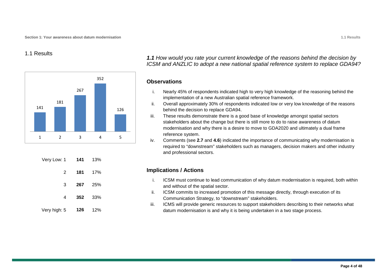#### 1.1 Results



|              | $2^{\circ}$ | 181 17%        |     |
|--------------|-------------|----------------|-----|
|              | 3           | <b>267</b> 25% |     |
|              | 4           | 352            | 33% |
| Very high: 5 |             | 126 12%        |     |

*1.1 How would you rate your current knowledge of the reasons behind the decision by ICSM and ANZLIC to adopt a new national spatial reference system to replace GDA94?*

#### **Observations**

- i. Nearly 45% of respondents indicated high to very high knowledge of the reasoning behind the implementation of a new Australian spatial reference framework.
- ii. Overall approximately 30% of respondents indicated low or very low knowledge of the reasons behind the decision to replace GDA94.
- iii. These results demonstrate there is a good base of knowledge amongst spatial sectors stakeholders about the change but there is still more to do to raise awareness of datum modernisation and why there is a desire to move to GDA2020 and ultimately a dual frame reference system.
- iv. Comments (see **2.7** and **4.6**) indicated the importance of communicating why modernisation is required to "downstream" stakeholders such as managers, decision makers and other industry and professional sectors.

- i. ICSM must continue to lead communication of why datum modernisation is required, both within and without of the spatial sector.
- ii. ICSM commits to increased promotion of this message directly, through execution of its Communication Strategy, to "downstream" stakeholders.
- iii. ICMS will provide generic resources to support stakeholders describing to their networks what datum modernisation is and why it is being undertaken in a two stage process.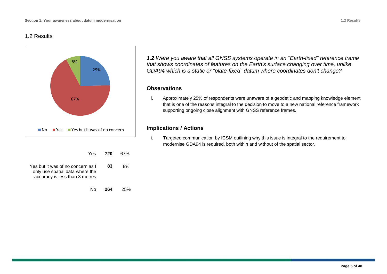#### 1.2 Results



No **264** 25%

*1.2 Were you aware that all GNSS systems operate in an "Earth-fixed" reference frame that shows coordinates of features on the Earth's surface changing over time, unlike GDA94 which is a static or "plate-fixed" datum where coordinates don't change?*

#### **Observations**

i. Approximately 25% of respondents were unaware of a geodetic and mapping knowledge element that is one of the reasons integral to the decision to move to a new national reference framework supporting ongoing close alignment with GNSS reference frames.

#### **Implications / Actions**

i. Targeted communication by ICSM outlining why this issue is integral to the requirement to modernise GDA94 is required, both within and without of the spatial sector.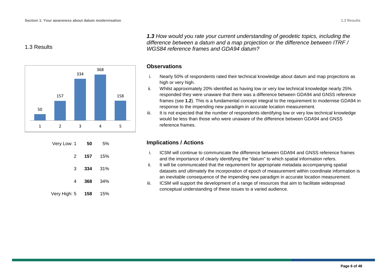#### 1.3 Results



| 5%  | 50  | Very Low: 1  |
|-----|-----|--------------|
| 15% | 157 | 2            |
| 31% | 334 | 3            |
| 34% | 368 | 4            |
| 15% | 158 | Very High: 5 |

*1.3 How would you rate your current understanding of geodetic topics, including the difference between a datum and a map projection or the difference between ITRF / WGS84 reference frames and GDA94 datum?*

#### **Observations**

- i. Nearly 50% of respondents rated their technical knowledge about datum and map projections as high or very high.
- ii. Whilst approximately 20% identified as having low or very low technical knowledge nearly 25% responded they were unaware that there was a difference between GDA94 and GNSS reference frames (see **1.2**). This is a fundamental concept integral to the requirement to modernise GDA94 in response to the impending new paradigm in accurate location measurement.
- iii. It is not expected that the number of respondents identifying low or very low technical knowledge would be less than those who were unaware of the difference between GDA94 and GNSS reference frames.

- i. ICSM will continue to communicate the difference between GDA94 and GNSS reference frames and the importance of clearly identifying the "datum" to which spatial information refers.
- ii. It will be communicated that the requirement for appropriate metadata accompanying spatial datasets and ultimately the incorporation of epoch of measurement within coordinate information is an inevitable consequence of the impending new paradigm in accurate location measurement.
- iii. ICSM will support the development of a range of resources that aim to facilitate widespread conceptual understanding of these issues to a varied audience.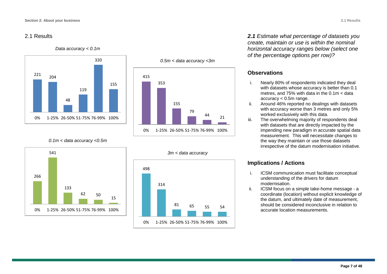#### 2.1 Results

#### *Data accuracy < 0.1m*





*0.1m < data accuracy <0.5m*





*2.1 Estimate what percentage of datasets you create, maintain or use is within the nominal horizontal accuracy ranges below (select one of the percentage options per row)?*

#### **Observations**

- i. Nearly 80% of respondents indicated they deal with datasets whose accuracy is better than 0.1 metres, and 75% with data in the 0.1m < data accuracy < 0.5m range.
- ii. Around 46% reported no dealings with datasets with accuracy worse than 3 metres and only 5% worked exclusively with this data.
- iii. The overwhelming majority of respondents deal with datasets that are directly impacted by the impending new paradigm in accurate spatial data measurement. This will necessitate changes to the way they maintain or use those datasets irrespective of the datum modernisation initiative.

- i. ICSM communication must facilitate conceptual understanding of the drivers for datum modernisation.
- ii. ICSM focus on a simple take-home message a coordinate (location) without explicit knowledge of the datum, and ultimately date of measurement, should be considered inconclusive in relation to accurate location measurements.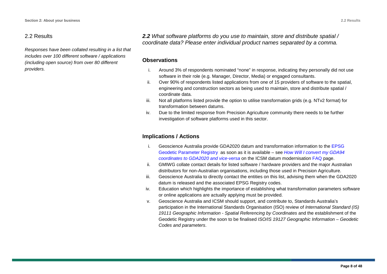#### 2.2 Results

*Responses have been collated resulting in a list that includes over 100 different software / applications (including open source) from over 80 different providers.*

*2.2 What software platforms do you use to maintain, store and distribute spatial / coordinate data? Please enter individual product names separated by a comma.*

#### **Observations**

- i. Around 3% of respondents nominated "none" in response, indicating they personally did not use software in their role (e.g. Manager, Director, Media) or engaged consultants.
- ii. Over 90% of respondents listed applications from one of 15 providers of software to the spatial, engineering and construction sectors as being used to maintain, store and distribute spatial / coordinate data.
- iii. Not all platforms listed provide the option to utilise transformation grids (e.g. NTv2 format) for transformation between datums.
- iv. Due to the limited response from Precision Agriculture community there needs to be further investigation of software platforms used in this sector.

- i. Geoscience Australia provide GDA2020 datum and transformation information to the [EPSG](http://www.epsg-registry.org/)  [Geodetic Parameter Registry](http://www.epsg-registry.org/) as soon as it is available – see *[How Will I convert my GDA94](http://www.icsm.gov.au/gda2020/faqs-2.html)  coordinates [to GDA2020 and vice-versa](http://www.icsm.gov.au/gda2020/faqs-2.html)* on the ICSM datum modernisation [FAQ](http://www.icsm.gov.au/gda2020/faqs-2.html) page.
- ii. GMIWG collate contact details for listed software / hardware providers and the major Australian distributors for non-Australian organisations, including those used in Precision Agriculture.
- iii. Geoscience Australia to directly contact the entities on this list, advising them when the GDA2020 datum is released and the associated EPSG Registry codes.
- iv. Education which highlights the importance of establishing what transformation parameters software or online applications are actually applying must be provided.
- v. Geoscience Australia and ICSM should support, and contribute to, Standards Australia's participation in the International Standards Organisation (ISO) review of *International Standard (IS) 19111 Geographic Information - Spatial Referencing by Coordinates* and the establishment of the Geodetic Registry under the soon to be finalised *ISO/IS 19127 Geographic Information – Geodetic Codes and parameters*.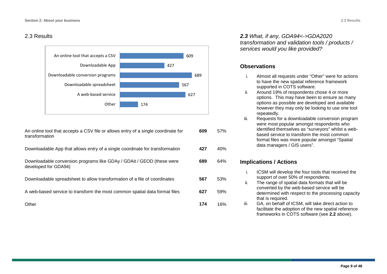#### 2.3 Results



An online tool that accepts a CSV file or allows entry of a single coordinate for transformation

Downloadable App that allows entry of a single coordinate for transformation **427** 40%

Downloadable conversion programs like GDAy / GDAit / GEOD (these were developed for GDA94)

Downloadable spreadsheet to allow transformation of a file of coordinates **567** 53%

A web-based service to transform the most common spatial data format files **627** 59%

Other **174** 16%

*2.3 What, if any, GDA94<->GDA2020 transformation and validation tools / products / services would you like provided?*

#### **Observations**

- i. Almost all requests under "Other" were for actions to have the new spatial reference framework supported in COTS software.
- ii. Around 19% of respondents chose 4 or more options. This may have been to ensure as many options as possible are developed and available however they may only be looking to use one tool repeatedly.
- iii. Requests for a downloadable conversion program were most popular amongst respondents who identified themselves as "surveyors" whilst a webbased service to transform the most common format files was more popular amongst "Spatial data managers / GIS users".

#### **Implications / Actions**

**609** 57%

**689** 64%

- i. ICSM will develop the four tools that received the support of over 50% of respondents.
- ii. The range of spatial data formats that will be converted by the web-based service will be determined with respect to the processing capacity that is required.
- iii. GA, on behalf of ICSM, will take direct action to facilitate the adoption of the new spatial reference frameworks in COTS software (see **2.2** above).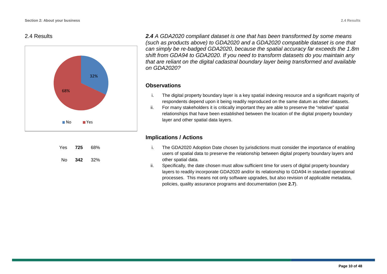#### 2.4 Results



| Yes. | 725 | 68% |  |
|------|-----|-----|--|
| No   | 342 | 32% |  |

*2.4 A GDA2020 compliant dataset is one that has been transformed by some means (such as products above) to GDA2020 and a GDA2020 compatible dataset is one that can simply be re-badged GDA2020, because the spatial accuracy far exceeds the 1.8m shift from GDA94 to GDA2020. If you need to transform datasets do you maintain any that are reliant on the digital cadastral boundary layer being transformed and available on GDA2020?*

#### **Observations**

- i. The digital property boundary layer is a key spatial indexing resource and a significant majority of respondents depend upon it being readily reproduced on the same datum as other datasets.
- ii. For many stakeholders it is critically important they are able to preserve the "relative" spatial relationships that have been established between the location of the digital property boundary layer and other spatial data layers.

- i. The GDA2020 Adoption Date chosen by jurisdictions must consider the importance of enabling users of spatial data to preserve the relationship between digital property boundary layers and other spatial data.
- ii. Specifically, the date chosen must allow sufficient time for users of digital property boundary layers to readily incorporate GDA2020 and/or its relationship to GDA94 in standard operational processes. This means not only software upgrades, but also revision of applicable metadata, policies, quality assurance programs and documentation (see **2.7**).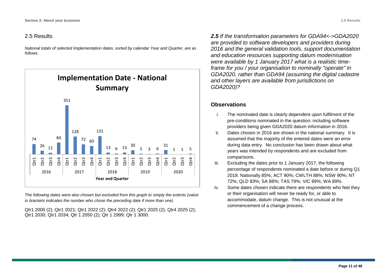#### 2.5 Results

*National totals of selected Implementation dates, sorted by calendar Year and Quarter, are as follows.*



*The following dates were also chosen but excluded from this graph to simply the extents (value in brackets indicates the number who chose the preceding date if more than one)*

Qtr1 2000 (2); Qtr1 2021; Qtr1 2022 (2); Qtr4 2022 (2); Qtr1 2025 (2); Qtr4 2025 (2); Qtr1 2030; Qtr1 2034; Qtr 1 2050 (2); Qtr 1 2999; Qtr 1 3000.

*2.5 If the transformation parameters for GDA94<->GDA2020 are provided to software developers and providers during 2016 and the general validation tools, support documentation and education resources supporting datum modernisation were available by 1 January 2017 what is a realistic timeframe for you / your organisation to nominally "operate" in GDA2020, rather than GDA94 (assuming the digital cadastre and other layers are available from jurisdictions on GDA2020)?*

#### **Observations**

- i. The nominated date is clearly dependent upon fulfilment of the pre-conditions nominated in the question; including software providers being given GDA2020 datum information in 2016.
- ii. Dates chosen in 2016 are shown in the national summary. It is assumed that the majority of the entered dates were an error during data entry. No conclusion has been drawn about what years was intended by respondents and are excluded from comparisons.
- iii. Excluding the dates prior to 1 January 2017, the following percentage of respondents nominated a date before or during Q1 2018: Nationally 85%; ACT 90%; CWLTH 88%; NSW 90%; NT 72%; QLD 83%; SA 88%; TAS 79%; VIC 89%; WA 89%.
- iv. Some dates chosen indicate there are respondents who feel they or their organisation will never be ready for, or able to accommodate, datum change. This is not unusual at the commencement of a change process.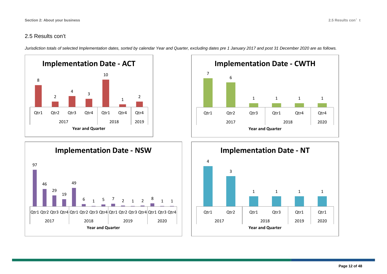#### 2.5 Results con't

*Jurisdiction totals of selected Implementation dates, sorted by calendar Year and Quarter, excluding dates pre 1 January 2017 and post 31 December 2020 are as follows.*







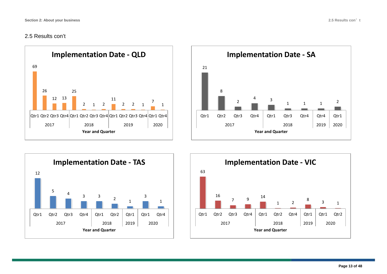#### 2.5 Results con't







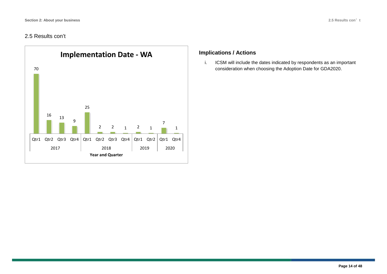#### 2.5 Results con't



#### **Implications / Actions**

i. ICSM will include the dates indicated by respondents as an important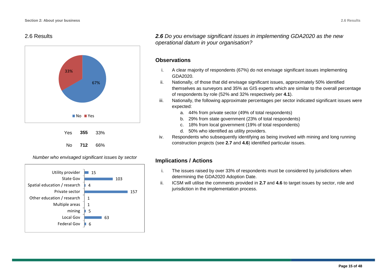#### 2.6 Results







*2.6 Do you envisage significant issues in implementing GDA2020 as the new operational datum in your organisation?*

#### **Observations**

- i. A clear majority of respondents (67%) do not envisage significant issues implementing GDA2020.
- ii. Nationally, of those that did envisage significant issues, approximately 50% identified themselves as surveyors and 35% as GIS experts which are similar to the overall percentage of respondents by role (52% and 32% respectively per **4.1**).
- iii. Nationally, the following approximate percentages per sector indicated significant issues were expected:
	- a. 44% from private sector (49% of total respondents)
	- b. 29% from state government (23% of total respondents)
	- c. 18% from local government (19% of total respondents)
	- d. 50% who identified as utility providers.
- iv. Respondents who subsequently identifying as being involved with mining and long running construction projects (see **2.7** and **4.6**) identified particular issues.

- i. The issues raised by over 33% of respondents must be considered by jurisdictions when determining the GDA2020 Adoption Date.
- ii. ICSM will utilise the comments provided in **2.7** and **4.6** to target issues by sector, role and jurisdiction in the implementation process.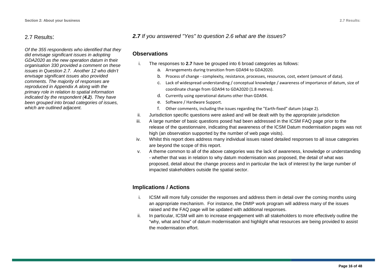#### 2.7 Results:

*Of the 355 respondents who identified that they did envisage significant issues in adopting GDA2020 as the new operation datum in* their *organisation 330 provided a comment on these issues in Question 2.7. Another 12 who didn't envisage significant issues also provided comments. The majority of responses are reproduced in Appendix A along with the primary role in relation to spatial information indicated by the respondent (4.2). They have been grouped into broad categories of issues, which are outlined adjacent.*

#### *2.7 If you answered "Yes" to question 2.6 what are the issues?*

#### **Observations**

- i. The responses to **2.7** have be grouped into 6 broad categories as follows:
	- a. Arrangements during transition from GDA94 to GDA2020.
	- b. Process of change complexity, resistance, processes, resources, cost, extent (amount of data).
	- c. Lack of widespread understanding / conceptual knowledge / awareness of importance of datum, size of coordinate change from GDA94 to GDA2020 (1.8 metres).
	- d. Currently using operational datums other than GDA94.
	- e. Software / Hardware Support.
	- f. Other comments, including the issues regarding the "Earth-fixed" datum (stage 2).
- ii. Jurisdiction specific questions were asked and will be dealt with by the appropriate jurisdiction
- iii. A large number of basic questions posed had been addressed in the ICSM FAQ page prior to the release of the questionnaire, indicating that awareness of the ICSM Datum modernisation pages was not high (an observation supported by the number of web page visits).
- iv. Whilst this report does address many individual issues raised detailed responses to all issue categories are beyond the scope of this report.
- v. A theme common to all of the above categories was the lack of awareness, knowledge or understanding - whether that was in relation to why datum modernisation was proposed, the detail of what was proposed, detail about the change process and in particular the lack of interest by the large number of impacted stakeholders outside the spatial sector.

- i. ICSM will more fully consider the responses and address them in detail over the coming months using an appropriate mechanism. For instance, the DMIP work program will address many of the issues raised and the FAQ page will be updated with additional responses.
- ii. In particular, ICSM will aim to increase engagement with all stakeholders to more effectively outline the "why, what and how" of datum modernisation and highlight what resources are being provided to assist the modernisation effort.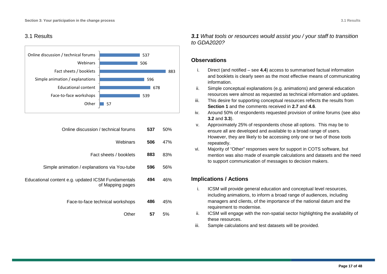#### 3.1 Results



| Online discussion / technical forums                                   | 537 | 50% |
|------------------------------------------------------------------------|-----|-----|
| Webinars                                                               | 506 | 47% |
| Fact sheets / booklets                                                 | 883 | 83% |
| Simple animation / explanations via You-tube                           | 596 | 56% |
| Educational content e.g. updated ICSM Fundamentals<br>of Mapping pages | 494 | 46% |
| Face-to-face technical workshops                                       | 486 | 45% |
| Other                                                                  | 57  | 5%  |

*3.1 What tools or resources would assist you / your staff to transition to GDA2020?*

#### **Observations**

- i. Direct (and notified see **4.4**) access to summarised factual information and booklets is clearly seen as the most effective means of communicating information.
- ii. Simple conceptual explanations (e.g. animations) and general education resources were almost as requested as technical information and updates.
- iii. This desire for supporting conceptual resources reflects the results from **Section 1** and the comments received in **2.7** and **4.6**.
- iv. Around 50% of respondents requested provision of online forums (see also **3.2** and **3.3**).
- v. Approximately 25% of respondents chose all options. This may be to ensure all are developed and available to a broad range of users. However, they are likely to be accessing only one or two of those tools repeatedly.
- vi. Majority of "Other" responses were for support in COTS software, but mention was also made of example calculations and datasets and the need to support communication of messages to decision makers.

- i. ICSM will provide general education and conceptual level resources, including animations, to inform a broad range of audiences, including managers and clients, of the importance of the national datum and the requirement to modernise.
- ii. ICSM will engage with the non-spatial sector highlighting the availability of these resources.
- iii. Sample calculations and test datasets will be provided.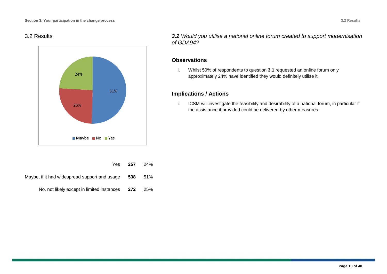#### 3.2 Results



*3.2 Would you utilise a national online forum created to support modernisation of GDA94?*

#### **Observations**

i. Whilst 50% of respondents to question **3.1** requested an online forum only approximately 24% have identified they would definitely utilise it.

#### **Implications / Actions**

i. ICSM will investigate the feasibility and desirability of a national forum, in particular if the assistance it provided could be delivered by other measures.

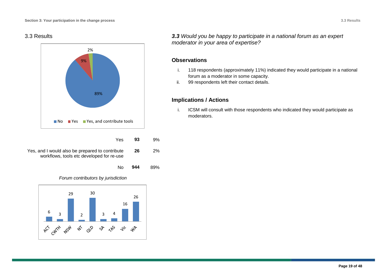#### 3.3 Results



| Yes.                                                                                         | 93  | 9% |
|----------------------------------------------------------------------------------------------|-----|----|
| Yes, and I would also be prepared to contribute<br>workflows, tools etc developed for re-use | -26 | 2% |

*Forum contributors by jurisdiction*

No **944** 89%



*3.3 Would you be happy to participate in a national forum as an expert moderator in your area of expertise?*

#### **Observations**

- i. 118 respondents (approximately 11%) indicated they would participate in a national forum as a moderator in some capacity.
- ii. 99 respondents left their contact details.

#### **Implications / Actions**

i. ICSM will consult with those respondents who indicated they would participate as moderators.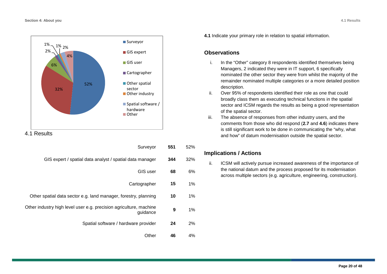

#### 4.1 Results

| 52%   | 551 | Surveyor                                                                       |
|-------|-----|--------------------------------------------------------------------------------|
| 32%   | 344 | GIS expert / spatial data analyst / spatial data manager                       |
| 6%    | 68  | GIS user                                                                       |
| 1%    | 15  | Cartographer                                                                   |
| 1%    | 10  | Other spatial data sector e.g. land manager, forestry, planning                |
| $1\%$ | 9   | Other industry high level user e.g. precision agriculture, machine<br>guidance |
| 2%    | 24  | Spatial software / hardware provider                                           |
| 4%    | 46  | Other                                                                          |

**4.1** Indicate your primary role in relation to spatial information.

#### **Observations**

- i. In the "Other" category 8 respondents identified themselves being Managers, 2 indicated they were in IT support, 6 specifically nominated the other sector they were from whilst the majority of the remainder nominated multiple categories or a more detailed position description.
- ii. Over 95% of respondents identified their role as one that could broadly class them as executing technical functions in the spatial sector and ICSM regards the results as being a good representation of the spatial sector.
- iii. The absence of responses from other industry users, and the comments from those who did respond (**2.7** and **4.6**) indicates there is still significant work to be done in communicating the "why, what and how" of datum modernisation outside the spatial sector.

#### **Implications / Actions**

ii. ICSM will actively pursue increased awareness of the importance of the national datum and the process proposed for its modernisation across multiple sectors (e.g. agriculture, engineering, construction).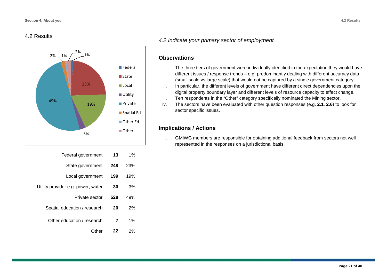#### 4.2 Results



| $1\%$ | 13  | Federal government                 |
|-------|-----|------------------------------------|
| 23%   | 248 | State government                   |
| 19%   | 199 | Local government                   |
| 3%    | 30  | Utility provider e.g. power, water |
| 49%   | 528 | Private sector                     |
| 2%    | 20  | Spatial education / research       |
| 1%    | 7   | Other education / research         |
| 2%    | 22  | Other                              |

#### *4.2 Indicate your primary sector of employment*.

#### **Observations**

- i. The three tiers of government were individually identified in the expectation they would have different issues / response trends – e.g. predominantly dealing with different accuracy data (small scale vs large scale) that would not be captured by a single government category.
- ii. In particular, the different levels of government have different direct dependencies upon the digital property boundary layer and different levels of resource capacity to effect change.
- iii. Ten respondents in the "Other" category specifically nominated the Mining sector.
- iv. The sectors have been evaluated with other question responses (e.g. **2.1**, **2.6**) to look for sector specific issues**.**

#### **Implications / Actions**

i. GMIWG members are responsible for obtaining additional feedback from sectors not well represented in the responses on a jurisdictional basis.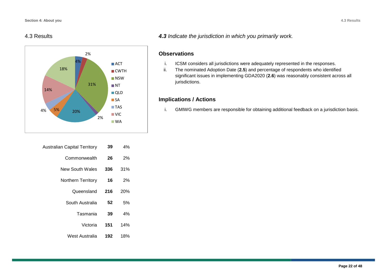#### 4.3 Results



| 4%  | 39  | Australian Capital Territory |
|-----|-----|------------------------------|
| 2%  | 26  | Commonwealth                 |
| 31% | 336 | New South Wales              |
| 2%  | 16  | Northern Territory           |
| 20% | 216 | Queensland                   |
| 5%  | 52  | South Australia              |
| 4%  | 39  | Tasmania                     |
| 14% | 151 | Victoria                     |
| 18% | 192 | West Australia               |
|     |     |                              |

*4.3 Indicate the jurisdiction in which you primarily work.*

#### **Observations**

- i. ICSM considers all jurisdictions were adequately represented in the responses.<br>ii. The nominated Adoption Date (2.5) and percentage of respondents who identificantly
- The nominated Adoption Date (2.5) and percentage of respondents who identified significant issues in implementing GDA2020 (**2.6**) was reasonably consistent across all jurisdictions.

#### **Implications / Actions**

i. GMIWG members are responsible for obtaining additional feedback on a jurisdiction basis.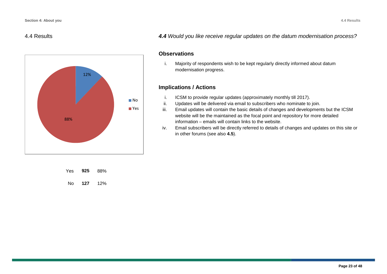#### 4.4 Results



*4.4 Would you like receive regular updates on the datum modernisation process?*

#### **Observations**

i. Majority of respondents wish to be kept regularly directly informed about datum modernisation progress.

- i. ICSM to provide regular updates (approximately monthly till 2017).
- ii. Updates will be delivered via email to subscribers who nominate to join.
- iii. Email updates will contain the basic details of changes and developments but the ICSM website will be the maintained as the focal point and repository for more detailed information – emails will contain links to the website.
- iv. Email subscribers will be directly referred to details of changes and updates on this site or in other forums (see also **4.5**).

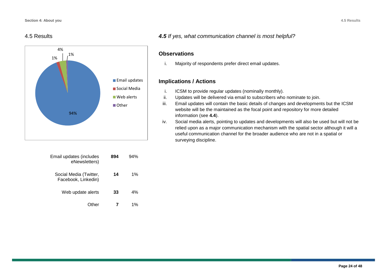#### 4.5 Results



| Email updates (includes<br>eNewsletters)      | 894 | 94%   |
|-----------------------------------------------|-----|-------|
| Social Media (Twitter,<br>Facebook, Linkedin) | 14  | $1\%$ |
| Web update alerts                             | 33  | 4%    |
| ther                                          |     | 1%    |

#### *4.5 If yes, what communication channel is most helpful?*

#### **Observations**

i. Majority of respondents prefer direct email updates.

- i. ICSM to provide regular updates (nominally monthly).
- ii. Updates will be delivered via email to subscribers who nominate to join.
- iii. Email updates will contain the basic details of changes and developments but the ICSM website will be the maintained as the focal point and repository for more detailed information (see **4.4**).
- iv. Social media alerts, pointing to updates and developments will also be used but will not be relied upon as a major communication mechanism with the spatial sector although it will a useful communication channel for the broader audience who are not in a spatial or surveying discipline.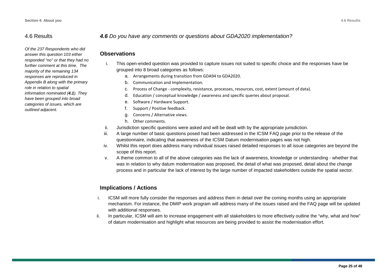#### 4.6 Results

*Of the 237 Respondents who did answer this question 103 either responded "no" or that they had no further comment at this time. The majority of the remaining 134 responses are reproduced in Appendix B along with the primary role in relation to spatial information nominated (4.1). They have been grouped into broad categories of issues, which are outlined adjacent.*

#### *4.6 Do you have any comments or questions about GDA2020 implementation?*

#### **Observations**

- i. This open-ended question was provided to capture issues not suited to specific choice and the responses have be grouped into 8 broad categories as follows:
	- a. Arrangements during transition from GDA94 to GDA2020.
	- b. Communication and Implementation.
	- c. Process of Change complexity, resistance, processes, resources, cost, extent (amount of data).
	- d. Education / conceptual knowledge / awareness and specific queries about proposal.
	- e. Software / Hardware Support.
	- f. Support / Positive feedback.
	- g. Concerns / Alternative views.
	- h. Other comments.
- ii. Jurisdiction specific questions were asked and will be dealt with by the appropriate jurisdiction.
- iii. A large number of basic questions posed had been addressed in the ICSM FAQ page prior to the release of the questionnaire, indicating that awareness of the ICSM Datum modernisation pages was not high.
- iv. Whilst this report does address many individual issues raised detailed responses to all issue categories are beyond the scope of this report.
- v. A theme common to all of the above categories was the lack of awareness, knowledge or understanding whether that was in relation to why datum modernisation was proposed, the detail of what was proposed, detail about the change process and in particular the lack of interest by the large number of impacted stakeholders outside the spatial sector.

- i. ICSM will more fully consider the responses and address them in detail over the coming months using an appropriate mechanism. For instance, the DMIP work program will address many of the issues raised and the FAQ page will be updated with additional responses.
- ii. In particular, ICSM will aim to increase engagement with all stakeholders to more effectively outline the "why, what and how" of datum modernisation and highlight what resources are being provided to assist the modernisation effort.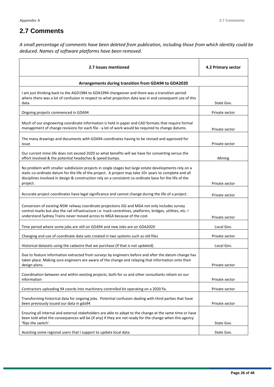# **2.7 Comments**

*A small percentage of comments have been deleted from publication, including those from which identity could be deduced. Names of software platforms have been removed.* 

| 2.7 Issues mentioned                                                                                                                                                                                                                                                                                                                   | 4.2 Primary sector |
|----------------------------------------------------------------------------------------------------------------------------------------------------------------------------------------------------------------------------------------------------------------------------------------------------------------------------------------|--------------------|
| Arrangements during transition from GDA94 to GDA2020                                                                                                                                                                                                                                                                                   |                    |
| I am just thinking back to the AGD1984 to GDA1994 changeover and there was a transition period<br>where there was a lot of confusion in respect to what projection data was in and consequent use of this<br>data.                                                                                                                     | State Gov.         |
| Ongoing projects commenced in GDA94                                                                                                                                                                                                                                                                                                    | Private sector     |
| Much of our engineering coordinate information is held in paper and CAD formats that require formal<br>management of change revisions for each file - a lot of work would be required to change datums.                                                                                                                                | Private sector     |
| The many drawings and documents with GDA94 coordinates having to be revised and approved for<br>issue                                                                                                                                                                                                                                  | Private sector     |
| Our current mine life does not exceed 2020 so what benefits will we have for converting versus the<br>effort involved & the potential headaches & speed bumps.                                                                                                                                                                         | Mining             |
| No problem with smaller subdivision projects in single stages but large estate developments rely on a<br>static co-ordinate datum for the life of the project. A project may take 10+ years to complete and all<br>disciplines involved in design & construction rely on a consistent co-ordinate base for the life of the<br>project. | Private sector     |
| Accurate project coordinates have legal significance and cannot change during the life of a project.                                                                                                                                                                                                                                   | Private sector     |
| Conversion of existing NSW railway coordinate projections ISG and MGA not only includes survey<br>control marks but also the rail infrastructure i.e. track centrelines, platforms, bridges, utilities, etc. I<br>understand Sydney Trains never moved across to MGA because of the cost.                                              | Private sector     |
| Time period where some jobs are still on GDA94 and new Jobs are on GDA2020                                                                                                                                                                                                                                                             | Local Gov.         |
| Changing and use of coordinate data sets created in two systems such as old files                                                                                                                                                                                                                                                      | Private sector     |
| Historical datasets using the cadastre that we purchase (if that is not updated).                                                                                                                                                                                                                                                      | Local Gov.         |
| Due to feature information extracted from surveys by engineers before and after the datum change has<br>taken place. Making sure engineers are aware of the change and relaying that information onto their<br>design plans.                                                                                                           | Private sector     |
| Coordination between and within existing projects, both for us and other consultants reliant on our<br>information                                                                                                                                                                                                                     | Private sector     |
| Contractors uploading 94 coords into machinery controlled kit operating on a 2020 fix.                                                                                                                                                                                                                                                 | Private sector     |
| Transforming historical data for ongoing jobs. Potential confusion dealing with third parties that have<br>been previously issued our data in gda94                                                                                                                                                                                    | Private sector     |
| Ensuring all internal and external stakeholders are able to adapt to the change at the same time or have<br>been told what the consequences will be (if any) if they are not ready for the change when this agency<br>'flips the switch'.                                                                                              | State Gov.         |
| Assisting some regional users that I support to update local data                                                                                                                                                                                                                                                                      | State Gov.         |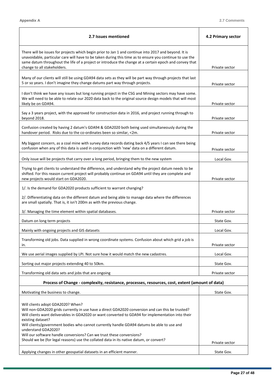$\blacksquare$ 

L,

| 2.7 Issues mentioned                                                                                                                                                                                                                                                                                                                                                                                                                                            | 4.2 Primary sector |  |
|-----------------------------------------------------------------------------------------------------------------------------------------------------------------------------------------------------------------------------------------------------------------------------------------------------------------------------------------------------------------------------------------------------------------------------------------------------------------|--------------------|--|
| There will be issues for projects which begin prior to Jan 1 and continue into 2017 and beyond. It is<br>unavoidable, particular care will have to be taken during this time as to ensure you continue to use the<br>same datum throughout the life of a project or introduce the change at a certain epoch and convey that<br>change to all stakeholders.                                                                                                      | Private sector     |  |
| Many of our clients will still be using GDA94 data sets as they will be part way through projects that last<br>5 or so years. I don't imagine they change datums part way through projects.                                                                                                                                                                                                                                                                     | Private sector     |  |
| I don't think we have any issues but long running project in the CSG and Mining sectors may have some.<br>We will need to be able to relate our 2020 data back to the original source design models that will most<br>likely be on GDA94.                                                                                                                                                                                                                       | Private sector     |  |
| Say a 3 years project, with the approved for construction data in 2016, and project running through to<br>beyond 2018.                                                                                                                                                                                                                                                                                                                                          | Private sector     |  |
| Confusion created by having 2 datum's GDA94 & GDA2020 both being used simultaneously during the<br>handover period. Risks due to the co-ordinates been so similar, <2m.                                                                                                                                                                                                                                                                                         | Private sector     |  |
| My biggest concern, as a coal mine with survey data records dating back 4/5 years I can see there being<br>confusion when any of this data is used in conjunction with 'new' data on a different datum.                                                                                                                                                                                                                                                         | Private sector     |  |
| Only issue will be projects that carry over a long period, bringing them to the new system                                                                                                                                                                                                                                                                                                                                                                      | Local Gov.         |  |
| Trying to get clients to understand the difference, and understand why the project datum needs to be<br>shifted. For this reason current project will probably continue on GDA94 until they are complete and<br>new projects would start on GDA2020.                                                                                                                                                                                                            | Private sector     |  |
| 1/. Is the demand for GDA2020 products sufficient to warrant changing?                                                                                                                                                                                                                                                                                                                                                                                          |                    |  |
| 2/. Differentiating data on the different datum and being able to manage data where the differences<br>are small spatially. That is, it isn't 200m as with the previous change.                                                                                                                                                                                                                                                                                 |                    |  |
| 3/. Managing the time element within spatial databases.                                                                                                                                                                                                                                                                                                                                                                                                         | Private sector     |  |
| Datum on long term projects                                                                                                                                                                                                                                                                                                                                                                                                                                     | State Gov.         |  |
| Mainly with ongoing projects and GIS datasets                                                                                                                                                                                                                                                                                                                                                                                                                   | Local Gov.         |  |
| Transforming old jobs. Data supplied in wrong coordinate systems. Confusion about which grid a job is<br>in.                                                                                                                                                                                                                                                                                                                                                    | Private sector     |  |
| We use aerial images supplied by LPI. Not sure how it would match the new cadastres.                                                                                                                                                                                                                                                                                                                                                                            | Local Gov.         |  |
| Sorting out major projects extending 40 to 50km.                                                                                                                                                                                                                                                                                                                                                                                                                | State Gov.         |  |
| Transforming old data sets and jobs that are ongoing                                                                                                                                                                                                                                                                                                                                                                                                            | Private sector     |  |
| Process of Change - complexity, resistance, processes, resources, cost, extent (amount of data)                                                                                                                                                                                                                                                                                                                                                                 |                    |  |
| Motivating the business to change.                                                                                                                                                                                                                                                                                                                                                                                                                              | State Gov.         |  |
| Will clients adopt GDA2020? When?<br>Will non-GDA2020 grids currently in use have a direct GDA2020 conversion and can this be trusted?<br>Will clients want deliverables in GDA2020 or want converted to GDA94 for implementation into their<br>existing dataset?<br>Will clients/government bodies who cannot currently handle GDA94 datums be able to use and<br>understand GDA2020?<br>Will our software handle conversions? Can we trust these conversions? |                    |  |
| Should we be (for legal reasons) use the collated data in its native datum, or convert?                                                                                                                                                                                                                                                                                                                                                                         | Private sector     |  |
| Applying changes in other geospatial datasets in an efficient manner.                                                                                                                                                                                                                                                                                                                                                                                           | State Gov.         |  |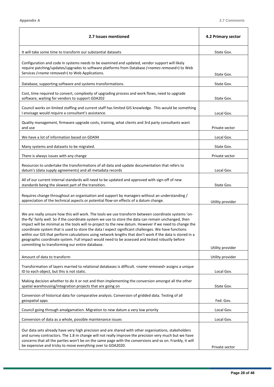$\blacksquare$ 

 $\overline{\phantom{0}}$ 

| 2.7 Issues mentioned                                                                                                                                                                                                                                                                                                                                                                                                                                                                                                                                                                                                                                                                            | 4.2 Primary sector |
|-------------------------------------------------------------------------------------------------------------------------------------------------------------------------------------------------------------------------------------------------------------------------------------------------------------------------------------------------------------------------------------------------------------------------------------------------------------------------------------------------------------------------------------------------------------------------------------------------------------------------------------------------------------------------------------------------|--------------------|
| It will take some time to transform our substantial datasets                                                                                                                                                                                                                                                                                                                                                                                                                                                                                                                                                                                                                                    | State Gov.         |
| Configuration and code in systems needs to be examined and updated, vendor support will likely<br>require patching/updates/upgrades to software platforms from Database ( <names removed="">) to Web<br/>Services (<name removed="">) to Web Applications.</name></names>                                                                                                                                                                                                                                                                                                                                                                                                                       | State Gov.         |
| Database, supporting software and systems transformations.                                                                                                                                                                                                                                                                                                                                                                                                                                                                                                                                                                                                                                      | State Gov.         |
| Cost, time required to convert, complexity of upgrading process and work flows, need to upgrade<br>software, waiting for vendors to support GDA202                                                                                                                                                                                                                                                                                                                                                                                                                                                                                                                                              | State Gov.         |
| Council works on limited staffing and current staff has limited GIS knowledge. This would be something<br>I envisage would require a consultant's assistance.                                                                                                                                                                                                                                                                                                                                                                                                                                                                                                                                   | Local Gov.         |
| Quality management, firmware upgrade costs, training, what clients and 3rd party consultants want<br>and use                                                                                                                                                                                                                                                                                                                                                                                                                                                                                                                                                                                    | Private sector     |
| We have a lot of information based on GDA94                                                                                                                                                                                                                                                                                                                                                                                                                                                                                                                                                                                                                                                     | Local Gov.         |
| Many systems and datasets to be migrated.                                                                                                                                                                                                                                                                                                                                                                                                                                                                                                                                                                                                                                                       | State Gov.         |
| There is always issues with any change                                                                                                                                                                                                                                                                                                                                                                                                                                                                                                                                                                                                                                                          | Private sector     |
| Resources to undertake the transformations of all data and update documentation that refers to<br>datum's (data supply agreements) and all metadata records                                                                                                                                                                                                                                                                                                                                                                                                                                                                                                                                     | Local Gov.         |
| All of our current internal standards will need to be updated and approved with sign-off of new<br>standards being the slowest part of the transition.                                                                                                                                                                                                                                                                                                                                                                                                                                                                                                                                          | State Gov.         |
| Requires change throughout an organisation and support by managers without an understanding /<br>appreciation of the technical aspects or potential flow-on effects of a datum change.                                                                                                                                                                                                                                                                                                                                                                                                                                                                                                          | Utility provider   |
| We are really unsure how this will work. The tools we use transform between coordinate systems 'on-<br>the-fly' fairly well. So if the coordinate system we use to store the data can remain unchanged, then<br>impact will be minimal as the tools will re-project to the new datum. However if we need to change the<br>coordinate system that is used to store the data I expect significant challenges. We have functions<br>within our GIS that perform calculations using network lengths that don't work if the data is stored in a<br>geographic coordinate system. Full impact would need to be assessed and tested robustly before<br>committing to transforming our entire database. | Utility provider   |
| Amount of data to transform                                                                                                                                                                                                                                                                                                                                                                                                                                                                                                                                                                                                                                                                     | Utility provider   |
| Transformation of layers married to relational databases is difficult. < <i>name removed</i> > assigns a unique<br>ID to each object, but this is not static.                                                                                                                                                                                                                                                                                                                                                                                                                                                                                                                                   | Local Gov.         |
| Making decision whether to do it or not and then implementing the conversion amongst all the other<br>spatial warehousing/integration projects that are going on                                                                                                                                                                                                                                                                                                                                                                                                                                                                                                                                | State Gov.         |
| Conversion of historical data for comparative analysis. Conversion of gridded data. Testing of all<br>geospatial apps                                                                                                                                                                                                                                                                                                                                                                                                                                                                                                                                                                           | Fed. Gov.          |
| Council going through amalgamation. Migration to new datum a very low priority                                                                                                                                                                                                                                                                                                                                                                                                                                                                                                                                                                                                                  | Local Gov.         |
| Conversion of data as a whole, possible maintenance issues                                                                                                                                                                                                                                                                                                                                                                                                                                                                                                                                                                                                                                      | Local Gov.         |
| Our data sets already have very high precision and are shared with other organisations, stakeholders<br>and survey contractors. The 1.8 m change will not really improve the precision very much but we have<br>concerns that all the parties won't be on the same page with the conversions and so on. Frankly, it will<br>be expensive and tricky to move everything over to GDA2020.                                                                                                                                                                                                                                                                                                         | Private sector     |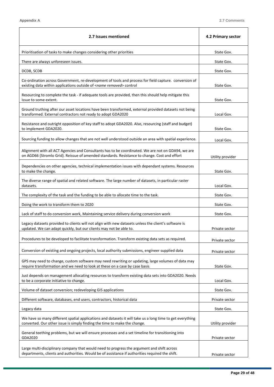$\overline{ }$ 

 $\overline{\phantom{0}}$ 

| 2.7 Issues mentioned                                                                                                                                                                               | 4.2 Primary sector |
|----------------------------------------------------------------------------------------------------------------------------------------------------------------------------------------------------|--------------------|
| Prioritisation of tasks to make changes considering other priorities                                                                                                                               | State Gov.         |
| There are always unforeseen issues.                                                                                                                                                                | State Gov.         |
| DCDB, SCDB                                                                                                                                                                                         | State Gov.         |
| Co-ordination across Government, re-development of tools and process for field capture. conversion of<br>existing data within applications outside of <name removed=""> control</name>             | State Gov.         |
| Resourcing to complete the task - if adequate tools are provided, then this should help mitigate this<br>issue to some extent.                                                                     | State Gov.         |
| Ground truthing after our asset locations have been transformed, external provided datasets not being<br>transformed. External contractors not ready to adopt GDA2020                              | Local Gov.         |
| Resistance and outright opposition of key staff to adopt GDA2020. Also, resourcing (staff and budget)<br>to implement GDA2020.                                                                     | State Gov.         |
| Sourcing funding to allow changes that are not well understood outside an area with spatial experience.                                                                                            | Local Gov.         |
| Alignment with all ACT Agencies and Consultants has to be coordinated. We are not on GDA94, we are<br>on AGD66 (Stromlo Grid). Reissue of amended standards. Resistance to change. Cost and effort | Utility provider   |
| Dependencies on other agencies, technical implementation issues with dependant systems. Resources<br>to make the change.                                                                           | State Gov.         |
| The diverse range of spatial and related software. The large number of datasets, in particular raster<br>datasets.                                                                                 | Local Gov.         |
| The complexity of the task and the funding to be able to allocate time to the task.                                                                                                                | State Gov.         |
| Doing the work to transform them to 2020                                                                                                                                                           | State Gov.         |
| Lack of staff to do conversion work, Maintaining service delivery during conversion work                                                                                                           | State Gov.         |
| Legacy datasets provided to clients will not align with new datasets unless the client's software is<br>updated. We can adapt quickly, but our clients may not be able to.                         | Private sector     |
| Procedures to be developed to facilitate transformation. Transform existing data sets as required.                                                                                                 | Private sector     |
| Conversion of existing and ongoing projects, local authority submissions, engineer supplied data                                                                                                   | Private sector     |
| GPS may need to change, custom software may need rewriting or updating, large volumes of data may<br>require transformation and we need to look at these on a case by case basis                   | State Gov.         |
| Just depends on management allocating resources to transform existing data sets into GDA2020. Needs<br>to be a corporate initiative to change.                                                     | Local Gov.         |
| Volume of dataset conversion; redeveloping GIS applications                                                                                                                                        | State Gov.         |
| Different software, databases, end users, contractors, historical data                                                                                                                             | Private sector     |
| Legacy data                                                                                                                                                                                        | State Gov.         |
| We have so many different spatial applications and datasets it will take us a long time to get everything<br>converted. Our other issue is simply finding the time to make the change.             | Utility provider   |
| General teething problems, but we will ensure processes and a set timeline for transitioning into<br>GDA2020                                                                                       | Private sector     |
| Large multi-disciplinary company that would need to progress the argument and shift across<br>departments, clients and authorities. Would be of assistance if authorities required the shift.      | Private sector     |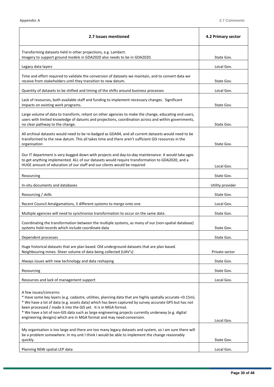$\blacksquare$ 

J.

| 2.7 Issues mentioned                                                                                                                                                                                                                                                                                                                                                                                                                                                                              | 4.2 Primary sector |
|---------------------------------------------------------------------------------------------------------------------------------------------------------------------------------------------------------------------------------------------------------------------------------------------------------------------------------------------------------------------------------------------------------------------------------------------------------------------------------------------------|--------------------|
| Transforming datasets held in other projections, e.g. Lambert.<br>Imagery to support ground models in GDA2020 also needs to be in GDA2020.                                                                                                                                                                                                                                                                                                                                                        | State Gov.         |
| Legacy data layers                                                                                                                                                                                                                                                                                                                                                                                                                                                                                | Local Gov.         |
| Time and effort required to validate the conversion of datasets we maintain, and to convert data we<br>receive from stakeholders until they transition to new datum.                                                                                                                                                                                                                                                                                                                              | State Gov.         |
| Quantity of datasets to be shifted and timing of the shifts around business processes                                                                                                                                                                                                                                                                                                                                                                                                             | Local Gov.         |
| Lack of resources, both available staff and funding to implement necessary changes. Significant<br>impacts on existing work programs.                                                                                                                                                                                                                                                                                                                                                             | State Gov.         |
| Large volume of data to transform, reliant on other agencies to make the change, educating end users,<br>users with limited knowledge of datums and projections, coordination across and within governments,<br>no clear pathway to the change.                                                                                                                                                                                                                                                   | State Gov.         |
| All archival datasets would need to be re-badged as GDA94, and all current datasets would need to be<br>transformed to the new datum. This all takes time and there aren't sufficient GIS resources in the<br>organisation                                                                                                                                                                                                                                                                        | State Gov.         |
| Our IT department is very bogged down with projects and day-to-day maintenance. It would take ages<br>to get anything implemented. ALL of our datasets would require transformation to GDA2020, and a<br>HUGE amount of education of our staff and our clients would be required                                                                                                                                                                                                                  | Local Gov.         |
| Resourcing                                                                                                                                                                                                                                                                                                                                                                                                                                                                                        | State Gov.         |
| In-situ documents and databases                                                                                                                                                                                                                                                                                                                                                                                                                                                                   | Utility provider   |
| Resourcing / skills                                                                                                                                                                                                                                                                                                                                                                                                                                                                               | State Gov.         |
| Recent Council Amalgamations, 3 different systems to merge onto one                                                                                                                                                                                                                                                                                                                                                                                                                               | Local Gov.         |
| Multiple agencies will need to synchronise transformation to occur on the same date.                                                                                                                                                                                                                                                                                                                                                                                                              | State Gov.         |
| Coordinating the transformation between the multiple systems, as many of our (non-spatial database)<br>systems hold records which include coordinate data                                                                                                                                                                                                                                                                                                                                         | State Gov.         |
| Dependent processes                                                                                                                                                                                                                                                                                                                                                                                                                                                                               | State Gov.         |
| Huge historical datasets that are plan based. Old underground datasets that are plan based.<br>Neighbouring mines. Sheer volume of data being collected (UAV's)                                                                                                                                                                                                                                                                                                                                   | Private sector     |
| Always issues with new technology and data reshaping                                                                                                                                                                                                                                                                                                                                                                                                                                              | State Gov.         |
| Resourcing                                                                                                                                                                                                                                                                                                                                                                                                                                                                                        | State Gov.         |
| Resources and lack of management support                                                                                                                                                                                                                                                                                                                                                                                                                                                          | Local Gov.         |
| A few issues/concerns:<br>* Have some key layers (e.g. cadastre, utilities, planning data that are highly spatially accurate <0.15m).<br>* We have a lot of data (e.g. assets data) which has been captured by survey accurate GPS but has not<br>been processed / made it into the GIS yet. It is in MGA format.<br>* We have a lot of non-GIS data such as large engineering projects currently underway (e.g. digital<br>engineering designs) which are in MGA format and may need conversion. | Local Gov.         |
| My organisation is too large and there are too many legacy datasets and system, so I am sure there will<br>be a problem somewhere. In my unit I think I would be able to implement the change reasonably<br>quickly.                                                                                                                                                                                                                                                                              | State Gov.         |
| Planning NSW spatial LEP data                                                                                                                                                                                                                                                                                                                                                                                                                                                                     | Local Gov.         |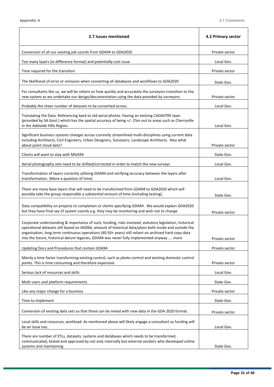l,

| 2.7 Issues mentioned                                                                                                                                                                                                                                                                                                                                                                                                      | 4.2 Primary sector |
|---------------------------------------------------------------------------------------------------------------------------------------------------------------------------------------------------------------------------------------------------------------------------------------------------------------------------------------------------------------------------------------------------------------------------|--------------------|
| Conversion of all our existing job coords from GDA94 to GDA2020                                                                                                                                                                                                                                                                                                                                                           | Private sector     |
| Too many layers (in difference format) and potentially cost issue                                                                                                                                                                                                                                                                                                                                                         | Local Gov.         |
| Time required for the transition                                                                                                                                                                                                                                                                                                                                                                                          | Private sector     |
| The likelihood of error or omission when converting all databases and workflows to GDA2020                                                                                                                                                                                                                                                                                                                                | State Gov.         |
| For consultants like us, we will be reliant on how quickly and accurately the surveyors transition to the<br>new system as we undertake our design/documentation using the data provided by surveyors.                                                                                                                                                                                                                    | Private sector     |
| Probably the sheer number of datasets to be converted across.                                                                                                                                                                                                                                                                                                                                                             | Local Gov.         |
| Translating the Data. Referencing back to old aerial photos. Having an existing CADASTRE layer<br>(provided by SA Govt.) which has the spatial accuracy of being +/- 25m out to areas such as Cherryville<br>in the Adelaide Hills Region.                                                                                                                                                                                | Local Gov.         |
| Significant business systems changes across currently streamlined multi-disciplines using current data<br>including Architects, Civil Engineers, Urban Designers, Surveyors, Landscape Architects. Also what<br>about point cloud data?                                                                                                                                                                                   | Private sector     |
| Clients will want to stay with MGA94                                                                                                                                                                                                                                                                                                                                                                                      | State Gov.         |
| Aerial photography sets need to be shifted/corrected in order to match the new surveys                                                                                                                                                                                                                                                                                                                                    | Local Gov.         |
| Transformation of layers currently utilising GDA94 and verifying accuracy between the layers after<br>transformation. (More a question of time)                                                                                                                                                                                                                                                                           | Local Gov.         |
| There are many base layers that will need to be transformed from GDA94 to GDA2020 which will<br>possibly take the group responsible a substantial amount of time (including testing).                                                                                                                                                                                                                                     | State Gov.         |
| Data compatibility on projects to completion or clients specifying GDA94. We would explain GDA2020<br>but they have final say of system coords e.g. they may be monitoring and wish not to change                                                                                                                                                                                                                         | Private sector     |
| Corporate understanding & importance of such, funding, risks involved, statutory legislation, historical<br>operational datasets still based on AGD66, amount of historical data/plans both inside and outside the<br>organisation, long term continuous operations (40-50+ years) still reliant on archived hard copy data<br>into the future, historical datum legacies, GDA94 was never fully implemented anyway  more | Private sector     |
| Updating Docs and Procedures that contain GDA94                                                                                                                                                                                                                                                                                                                                                                           | Private sector     |
| Mainly a time factor transforming existing control, such as photo control and existing domestic control<br>points. This is time consuming and therefore expensive.                                                                                                                                                                                                                                                        | Private sector     |
| Serious lack of resources and skills                                                                                                                                                                                                                                                                                                                                                                                      | Local Gov.         |
| Multi users and platform requirements                                                                                                                                                                                                                                                                                                                                                                                     | State Gov.         |
| Like any major change for a business                                                                                                                                                                                                                                                                                                                                                                                      | Private sector     |
| Time to implement                                                                                                                                                                                                                                                                                                                                                                                                         | State Gov.         |
| Conversion of existing data sets so that these can be mixed with new data in the GDA 2020 format.                                                                                                                                                                                                                                                                                                                         | Private sector     |
| Local skills and resources, workload. As mentioned above will likely engage a consultant so funding will<br>be an issue too.                                                                                                                                                                                                                                                                                              | Local Gov.         |
| There are number of ETLs, datasets, systems and databases which needs to be transformed,<br>communicated, tested and approved by not only internally but external vendors who developed online<br>systems and maintaining                                                                                                                                                                                                 | State Gov.         |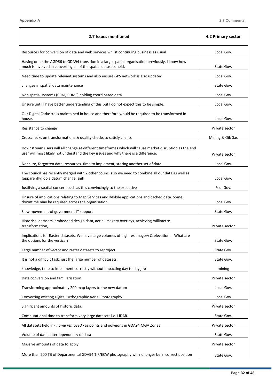l,

| 2.7 Issues mentioned                                                                                                                                                                         | 4.2 Primary sector |
|----------------------------------------------------------------------------------------------------------------------------------------------------------------------------------------------|--------------------|
| Resources for conversion of data and web services whilst continuing business as usual                                                                                                        | Local Gov.         |
| Having done the AGD66 to GDA94 transition in a large spatial organisation previously, I know how<br>much is involved in converting all of the spatial datasets held.                         | State Gov.         |
| Need time to update relevant systems and also ensure GPS network is also updated                                                                                                             | Local Gov.         |
| changes in spatial data maintenance                                                                                                                                                          | State Gov.         |
| Non spatial systems (CRM, EDMS) holding coordinated data                                                                                                                                     | Local Gov.         |
| Unsure until I have better understanding of this but I do not expect this to be simple.                                                                                                      | Local Gov.         |
| Our Digital Cadastre is maintained in house and therefore would be required to be transformed in<br>house.                                                                                   | Local Gov.         |
| Resistance to change                                                                                                                                                                         | Private sector     |
| Crosschecks on transformations & quality checks to satisfy clients                                                                                                                           | Mining & Oil/Gas   |
| Downstream users will all change at different timeframes which will cause market disruption as the end<br>user will most likely not understand the key issues and why there is a difference. | Private sector     |
| Not sure, forgotten data, resources, time to implement, storing another set of data                                                                                                          | Local Gov.         |
| The council has recently merged with 2 other councils so we need to combine all our data as well as<br>(apparently) do a datum change. sigh                                                  | Local Gov.         |
| Justifying a spatial concern such as this convincingly to the executive                                                                                                                      | Fed. Gov.          |
| Unsure of implications relating to Map Services and Mobile applications and cached data. Some<br>downtime may be required across the organisation.                                           | Local Gov.         |
| Slow movement of government IT support                                                                                                                                                       | State Gov.         |
| Historical datasets, embedded design data, aerial imagery overlays, achieving millimetre<br>transformation.                                                                                  | Private sector     |
| the options for the vertical?                                                                                                                                                                | State Gov.         |
| Large number of vector and raster datasets to reproject                                                                                                                                      | State Gov.         |
| It is not a difficult task, just the large number of datasets.                                                                                                                               | State Gov.         |
| knowledge, time to implement correctly without impacting day to day job                                                                                                                      | mining             |
| Data conversion and familiarisation                                                                                                                                                          | Private sector     |
| Transforming approximately 200 map layers to the new datum                                                                                                                                   | Local Gov.         |
| Converting existing Digital Orthographic Aerial Photography                                                                                                                                  | Local Gov.         |
| Significant amounts of historic data.                                                                                                                                                        | Private sector     |
| Computational time to transform very large datasets i.e. LiDAR.                                                                                                                              | State Gov.         |
| All datasets held in <name removed=""> as points and polygons in GDA94 MGA Zones</name>                                                                                                      | Private sector     |
| Volume of data, interdependency of data                                                                                                                                                      | State Gov.         |
| Massive amounts of data to apply                                                                                                                                                             | Private sector     |
| More than 200 TB of Departmental GDA94 TIF/ECW photography will no longer be in correct position                                                                                             | State Gov.         |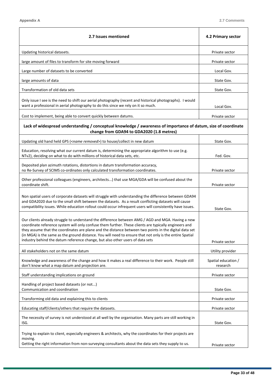| Updating historical datasets.<br>large amount of files to transform for site moving forward                                                                                                                                                                                                                                                                                                                                                                                                                       | Private sector<br>Private sector<br>Local Gov.<br>State Gov. |
|-------------------------------------------------------------------------------------------------------------------------------------------------------------------------------------------------------------------------------------------------------------------------------------------------------------------------------------------------------------------------------------------------------------------------------------------------------------------------------------------------------------------|--------------------------------------------------------------|
|                                                                                                                                                                                                                                                                                                                                                                                                                                                                                                                   |                                                              |
|                                                                                                                                                                                                                                                                                                                                                                                                                                                                                                                   |                                                              |
| Large number of datasets to be converted                                                                                                                                                                                                                                                                                                                                                                                                                                                                          |                                                              |
| large amounts of data                                                                                                                                                                                                                                                                                                                                                                                                                                                                                             |                                                              |
| Transformation of old data sets                                                                                                                                                                                                                                                                                                                                                                                                                                                                                   | State Gov.                                                   |
| Only issue I see is the need to shift our aerial photography (recent and historical photographs). I would<br>want a professional in aerial photography to do this since we rely on it so much.                                                                                                                                                                                                                                                                                                                    | Local Gov.                                                   |
| Cost to implement, being able to convert quickly between datums.                                                                                                                                                                                                                                                                                                                                                                                                                                                  | Private sector                                               |
| Lack of widespread understanding / conceptual knowledge / awareness of importance of datum, size of coordinate<br>change from GDA94 to GDA2020 (1.8 metres)                                                                                                                                                                                                                                                                                                                                                       |                                                              |
| Updating old hand held GPS ( <name removed="">) to house/collect in new datum</name>                                                                                                                                                                                                                                                                                                                                                                                                                              | State Gov.                                                   |
| Education, resolving what our current datum is, determining the appropriate algorithm to use (e.g.<br>NTv2), deciding on what to do with millions of historical data sets, etc.                                                                                                                                                                                                                                                                                                                                   | Fed. Gov.                                                    |
| Deposited plan azimuth rotations, distortions in datum transformation accuracy,<br>no Re-Survey of SCIMS co-ordinates only calculated transformation coordinates.                                                                                                                                                                                                                                                                                                                                                 | Private sector                                               |
| Other professional colleagues (engineers, architects) that use MGA/GDA will be confused about the<br>coordinate shift.                                                                                                                                                                                                                                                                                                                                                                                            | Private sector                                               |
| Non spatial users of corporate datasets will struggle with understanding the difference between GDA94<br>and GDA2020 due to the small shift between the datasets. As a result conflicting datasets will cause<br>compatibility issues. While education rollout could occur infrequent users will consistently have issues.                                                                                                                                                                                        | State Gov.                                                   |
| Our clients already struggle to understand the difference between AMG / AGD and MGA. Having a new<br>coordinate reference system will only confuse them further. These clients are typically engineers and<br>they assume that the coordinates are plane and the distance between two points in the digital data set<br>(in MGA) is the same as the ground distance. You will need to ensure that not only is the entire Spatial<br>industry behind the datum reference change, but also other users of data sets | Private sector                                               |
| All stakeholders not on the same datum                                                                                                                                                                                                                                                                                                                                                                                                                                                                            | Utility provider                                             |
| Knowledge and awareness of the change and how it makes a real difference to their work. People still<br>don't know what a map datum and projection are.                                                                                                                                                                                                                                                                                                                                                           | Spatial education /<br>research                              |
| Staff understanding implications on ground                                                                                                                                                                                                                                                                                                                                                                                                                                                                        | Private sector                                               |
| Handling of project based datasets (or not)<br>Communication and coordination                                                                                                                                                                                                                                                                                                                                                                                                                                     | State Gov.                                                   |
| Transforming old data and explaining this to clients                                                                                                                                                                                                                                                                                                                                                                                                                                                              | Private sector                                               |
| Educating staff/clients/others that require the datasets.                                                                                                                                                                                                                                                                                                                                                                                                                                                         | Private sector                                               |
| The necessity of survey is not understood at all well by the organisation. Many parts are still working in<br>ISG.                                                                                                                                                                                                                                                                                                                                                                                                | State Gov.                                                   |
| Trying to explain to client, especially engineers & architects, why the coordinates for their projects are<br>moving.<br>Getting the right information from non-surveying consultants about the data sets they supply to us.                                                                                                                                                                                                                                                                                      | Private sector                                               |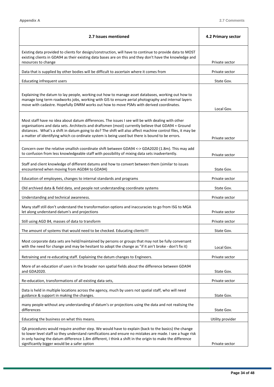$\mathsf{r}$ 

٦

| 2.7 Issues mentioned                                                                                                                                                                                                                                                                                                                                                                                                      | 4.2 Primary sector |
|---------------------------------------------------------------------------------------------------------------------------------------------------------------------------------------------------------------------------------------------------------------------------------------------------------------------------------------------------------------------------------------------------------------------------|--------------------|
| Existing data provided to clients for design/construction, will have to continue to provide data to MOST<br>existing clients in GDA94 as their existing data bases are on this and they don't have the knowledge and                                                                                                                                                                                                      |                    |
| resources to change                                                                                                                                                                                                                                                                                                                                                                                                       | Private sector     |
| Data that is supplied by other bodies will be difficult to ascertain where it comes from                                                                                                                                                                                                                                                                                                                                  | Private sector     |
| Educating infrequent users                                                                                                                                                                                                                                                                                                                                                                                                | State Gov.         |
| Explaining the datum to lay people, working out how to manage asset databases, working out how to<br>manage long term roadworks jobs, working with GIS to ensure aerial photography and internal layers<br>move with cadastre. Hopefully DNRM works out how to move PSMs with derived coordinates.                                                                                                                        | Local Gov.         |
| Most staff have no idea about datum differences. The issues I see will be with dealing with other<br>organisations and data sets. Architects and draftsmen (most) currently believe that GDA94 = Ground<br>distances. What's a shift in datum going to do? The shift will also affect machine control files, it may be<br>a matter of identifying which co-ordinate system is being used but there is bound to be errors. | Private sector     |
| Concern over the relative smallish coordinate shift between GDA94 <-> GDA2020 (1.8m). This may add<br>to confusion from less knowledgeable staff with possibility of mixing data sets inadvertently.                                                                                                                                                                                                                      | Private sector     |
| Staff and client knowledge of different datums and how to convert between them (similar to issues<br>encountered when moving from AGD84 to GDA94)                                                                                                                                                                                                                                                                         | State Gov.         |
| Education of employees, changes to internal standards and programs                                                                                                                                                                                                                                                                                                                                                        | Private sector     |
| Old archived data & field data, and people not understanding coordinate systems                                                                                                                                                                                                                                                                                                                                           | State Gov.         |
| Understanding and technical awareness.                                                                                                                                                                                                                                                                                                                                                                                    | Private sector     |
| Many staff still don't understand the transformation options and inaccuracies to go from ISG to MGA<br>let along understand datum's and projections                                                                                                                                                                                                                                                                       | Private sector     |
| Still using AGD 84, masses of data to transform                                                                                                                                                                                                                                                                                                                                                                           | Private sector     |
| The amount of systems that would need to be checked. Educating clients!!!                                                                                                                                                                                                                                                                                                                                                 | State Gov.         |
| Most corporate data sets are held/maintained by persons or groups that may not be fully conversant<br>with the need for change and may be hesitant to adopt the change as "if it ain't broke - don't fix it)                                                                                                                                                                                                              | Local Gov.         |
| Retraining and re-educating staff. Explaining the datum changes to Engineers.                                                                                                                                                                                                                                                                                                                                             | Private sector     |
| More of an education of users in the broader non spatial fields about the difference between GDA94<br>and GDA2020.                                                                                                                                                                                                                                                                                                        | State Gov.         |
| Re-education, transformations of all existing data sets,                                                                                                                                                                                                                                                                                                                                                                  | Private sector     |
| Data is held in multiple locations across the agency, much by users not spatial staff, who will need<br>guidance & support in making the changes.                                                                                                                                                                                                                                                                         | State Gov.         |
| many people without any understanding of datum's or projections using the data and not realising the<br>differences                                                                                                                                                                                                                                                                                                       | State Gov.         |
| Educating the business on what this means.                                                                                                                                                                                                                                                                                                                                                                                | Utility provider   |
| QA procedures would require another step. We would have to explain (back to the basics) the change<br>to lower level staff so they understand ramifications and ensure no mistakes are made. I see a huge risk<br>in only having the datum difference 1.8m different, I think a shift in the origin to make the difference<br>significantly bigger would be a safer option                                                | Private sector     |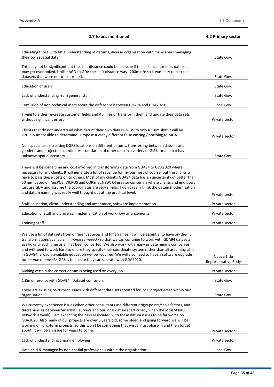$\blacksquare$ 

 $\overline{\phantom{0}}$ 

| 2.7 Issues mentioned                                                                                                                                                                                                                                                                                                                                                                                                                                                                                                                                                                                                              | 4.2 Primary sector                  |
|-----------------------------------------------------------------------------------------------------------------------------------------------------------------------------------------------------------------------------------------------------------------------------------------------------------------------------------------------------------------------------------------------------------------------------------------------------------------------------------------------------------------------------------------------------------------------------------------------------------------------------------|-------------------------------------|
| Educating those with little understanding of datums, diverse organisation with many areas managing<br>their own spatial data                                                                                                                                                                                                                                                                                                                                                                                                                                                                                                      | State Gov.                          |
| This may not be significant but the shift distance could be an issue if the distance is minor, datasets<br>may get overlooked. Unlike AGD to GDA the shift distance was ~200m n/e so it was easy to pick up<br>datasets that were not transformed.                                                                                                                                                                                                                                                                                                                                                                                | State Gov.                          |
| <b>Education of users</b>                                                                                                                                                                                                                                                                                                                                                                                                                                                                                                                                                                                                         | State Gov.                          |
| Lack of understanding from general staff                                                                                                                                                                                                                                                                                                                                                                                                                                                                                                                                                                                          | State Gov.                          |
| Confusion of non-technical users about the difference between GDA94 and GDA2020.                                                                                                                                                                                                                                                                                                                                                                                                                                                                                                                                                  | Local Gov.                          |
| Trying to either re-create customer fields and AB lines or transform them and update their data sets<br>without significant errors                                                                                                                                                                                                                                                                                                                                                                                                                                                                                                | Private sector                      |
| Clients that do not understand what datum their own data is in. With only a 1.8m shift it will be<br>virtually impossible to determine. Propose a vastly different false easting / northing to MGA.                                                                                                                                                                                                                                                                                                                                                                                                                               | Private sector                      |
| Non spatial users creating DGPS locations on different datums, transferring between datums and<br>geodetic and projected coordinates; translation of other data in a variety of GIS formats that has<br>unknown spatial accuracy.                                                                                                                                                                                                                                                                                                                                                                                                 | State Gov.                          |
| There will be some time and cost involved in transforming data from GDA94 to GDA2020 where<br>necessary for my clients. It will generate a lot of revenue for my business of course, but the clients will<br>have to pass these costs on to others. Most of my client's GDA94 data has an uncertainty of better than<br>50 mm based on AusPOS, VICPOS and CORSnet NSW. Of greater concern is where clients and end users<br>just use GDA and assume the coordinates are very similar. I don't really think the datum modernisation<br>and datum naming was really well thought out at the practical level.                        | Private sector                      |
| Staff education, client understanding and acceptance, software implementation                                                                                                                                                                                                                                                                                                                                                                                                                                                                                                                                                     | Private sector                      |
| Education of staff and universal implementation of work flow arrangements                                                                                                                                                                                                                                                                                                                                                                                                                                                                                                                                                         | Private sector                      |
| <b>Training Staff</b>                                                                                                                                                                                                                                                                                                                                                                                                                                                                                                                                                                                                             | Private sector                      |
| We use a lot of datasets from different sources and timeframes. It will be essential to have on-the-fly<br>transformations available in <name removed=""> so that we can continue to work with GDA94 datasets<br/>easily, until such time as all has been converted. We also work with many private mining companies<br/>and will need to work hard to enure they specify their coordinate system rather than all assuming all is<br/>in GDA94. Broadly available education will be required. We will also need to have a software upgrade<br/>for <name removed=""> GPSes to ensure they can operate with GDA2020.</name></name> | Native Title<br>Representative Body |
| Making certain the correct datum is being used on every job.                                                                                                                                                                                                                                                                                                                                                                                                                                                                                                                                                                      | Private sector                      |
| 1.8m difference with GDA94. Dataset confusion.                                                                                                                                                                                                                                                                                                                                                                                                                                                                                                                                                                                    | State Gov.                          |
| There are existing re-current issues with different data sets created for local project areas within our<br>organisation.                                                                                                                                                                                                                                                                                                                                                                                                                                                                                                         | State Gov.                          |
| We currently experience issues when other consultants use different origin points/scale factors, and<br>discrepancies between SmartNET surveys and our local datum (particularly when the local SCIMS<br>network is weak). I am expecting the risks associated with these datum issues to be far worse on<br>GDA2020. Also many of our projects are over 5 years old, some older, and going forward we will be<br>working on long-term projects, so this won't be something that we can just phase in and then forget<br>about, it will be an issue for years to come.                                                            | Private sector                      |
| Lack of understanding among employees.                                                                                                                                                                                                                                                                                                                                                                                                                                                                                                                                                                                            | Private sector                      |
| Data held & managed by non-spatial professionals within the organisation                                                                                                                                                                                                                                                                                                                                                                                                                                                                                                                                                          | Local Gov.                          |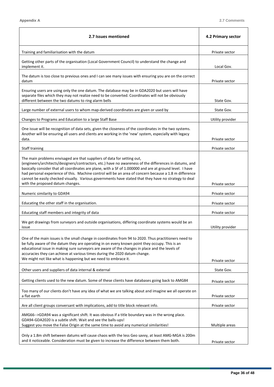l,

| 2.7 Issues mentioned                                                                                                                                                                                                                                                                                                                                                                                                                                                                                                                                 | 4.2 Primary sector |
|------------------------------------------------------------------------------------------------------------------------------------------------------------------------------------------------------------------------------------------------------------------------------------------------------------------------------------------------------------------------------------------------------------------------------------------------------------------------------------------------------------------------------------------------------|--------------------|
| Training and familiarisation with the datum                                                                                                                                                                                                                                                                                                                                                                                                                                                                                                          | Private sector     |
| Getting other parts of the organisation (Local Government Council) to understand the change and<br>implement it.                                                                                                                                                                                                                                                                                                                                                                                                                                     | Local Gov.         |
| The datum is too close to previous ones and I can see many issues with ensuring you are on the correct<br>datum                                                                                                                                                                                                                                                                                                                                                                                                                                      | Private sector     |
| Ensuring users are using only the one datum. The database may be in GDA2020 but users will have<br>separate files which they may not realize need to be converted. Coordinates will not be obviously<br>different between the two datums to ring alarm bells                                                                                                                                                                                                                                                                                         | State Gov.         |
| Large number of external users to whom map-derived coordinates are given or used by                                                                                                                                                                                                                                                                                                                                                                                                                                                                  | State Gov.         |
| Changes to Programs and Education to a large Staff Base                                                                                                                                                                                                                                                                                                                                                                                                                                                                                              | Utility provider   |
| One issue will be recognition of data sets, given the closeness of the coordinates in the two systems.<br>Another will be ensuring all users and clients are working in the 'new' system, especially with legacy<br>data.                                                                                                                                                                                                                                                                                                                            | Private sector     |
| Staff training                                                                                                                                                                                                                                                                                                                                                                                                                                                                                                                                       | Private sector     |
| The main problems envisaged are that suppliers of data for setting out,<br>(engineers/architects/designers/contractors, etc.) have no awareness of the differences in datums, and<br>basically consider that all coordinates are plane, with a SF of 1.000000 and are at ground level. I have<br>had personal experience of this. Machine control will be an area of concern because a 1.8 m difference<br>cannot be easily checked visually. Various governments have stated that they have no strategy to deal<br>with the proposed datum changes. | Private sector     |
| Numeric similarity to GDA94                                                                                                                                                                                                                                                                                                                                                                                                                                                                                                                          | Private sector     |
| Educating the other staff in the organisation.                                                                                                                                                                                                                                                                                                                                                                                                                                                                                                       | Private sector     |
| Educating staff members and integrity of data                                                                                                                                                                                                                                                                                                                                                                                                                                                                                                        | Private sector     |
| We get drawings from surveyors and outside organisations, differing coordinate systems would be an<br>issue                                                                                                                                                                                                                                                                                                                                                                                                                                          | Utility provider   |
| One of the main issues is the small change in coordinates from 94 to 2020. Thus practitioners need to<br>be fully aware of the datum they are operating in on every known point they occupy. This is an<br>educational issue in making sure surveyors are aware of the changes in place and the levels of<br>accuracies they can achieve at various times during the 2020 datum change.<br>We might not like what is happening but we need to embrace it.                                                                                            | Private sector     |
| Other users and suppliers of data internal & external                                                                                                                                                                                                                                                                                                                                                                                                                                                                                                | State Gov.         |
|                                                                                                                                                                                                                                                                                                                                                                                                                                                                                                                                                      |                    |
| Getting clients used to the new datum. Some of these clients have databases going back to AMG84                                                                                                                                                                                                                                                                                                                                                                                                                                                      | Private sector     |
| Too many of our clients don't have any idea of what we are talking about and imagine we all operate on<br>a flat earth                                                                                                                                                                                                                                                                                                                                                                                                                               | Private sector     |
| Are all client groups conversant with implications, add to title block relevant info.                                                                                                                                                                                                                                                                                                                                                                                                                                                                | Private sector     |
| AMG66-->GDA94 was a significant shift. It was obvious if a title boundary was in the wrong place.<br>GDA94-GDA2020 is a subtle shift. Wait and see the balls-ups!<br>Suggest you move the False Origin at the same time to avoid any numerical similarities!                                                                                                                                                                                                                                                                                         | Multiple areas     |
| Only a 1.8m shift between datums will cause chaos with the less Geo savvy, at least AMG-MGA is 200m<br>and it noticeable. Consideration must be given to increase the difference between them both.                                                                                                                                                                                                                                                                                                                                                  | Private sector     |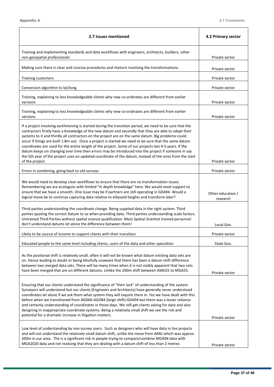$\overline{\phantom{0}}$ 

| 2.7 Issues mentioned                                                                                                                                                                                                                                                                                                                                                                                                                                                                                                                                                                                                                                                                                                                                                        | 4.2 Primary sector            |
|-----------------------------------------------------------------------------------------------------------------------------------------------------------------------------------------------------------------------------------------------------------------------------------------------------------------------------------------------------------------------------------------------------------------------------------------------------------------------------------------------------------------------------------------------------------------------------------------------------------------------------------------------------------------------------------------------------------------------------------------------------------------------------|-------------------------------|
| Training and implementing standards and data workflows with engineers, architects, builders, other<br>non-geospatial professionals                                                                                                                                                                                                                                                                                                                                                                                                                                                                                                                                                                                                                                          | Private sector                |
| Making sure there is clear and concise procedures and rhetoric involving the transformations.                                                                                                                                                                                                                                                                                                                                                                                                                                                                                                                                                                                                                                                                               | Private sector                |
| <b>Training customers</b>                                                                                                                                                                                                                                                                                                                                                                                                                                                                                                                                                                                                                                                                                                                                                   | Private sector                |
| Conversion algorithm to lat/long.                                                                                                                                                                                                                                                                                                                                                                                                                                                                                                                                                                                                                                                                                                                                           | Private sector                |
| Training, explaining to less knowledgeable clients why new co-ordinates are different from earlier<br>versions                                                                                                                                                                                                                                                                                                                                                                                                                                                                                                                                                                                                                                                              | Private sector                |
| Training, explaining to less knowledgeable clients why new co-ordinates are different from earlier<br>versions                                                                                                                                                                                                                                                                                                                                                                                                                                                                                                                                                                                                                                                              | Private sector                |
| If a project involving earthmoving is started during the transition period, we need to be sure that the<br>contractors firstly have a knowledge of the new datum and secondly that they are able to adapt their<br>systems to it and thirdly all contractors on the project are on the same datum. Big problems could<br>occur if things are built 1.8m out. Once a project is started we need to be sure that the same datum<br>coordinates are used for the entire length of the project. Some of our projects last 4-5 years. If the<br>datum keeps on changing over time then errors may be introduced into the project if someone in say<br>the 5th year of the project uses an updated coordinate of the datum, instead of the ones from the start<br>of the project. | Private sector                |
| Errors in combining, going back to old surveys                                                                                                                                                                                                                                                                                                                                                                                                                                                                                                                                                                                                                                                                                                                              | Private sector                |
| We would need to develop clear workflows to ensure that there are no transformation issues.<br>Remembering we are ecologists with limited "in depth knowledge" here. We would need support to<br>ensure that we have a smooth. One issue may be if partners are still operating in GDA94. Would a<br>logical move be to continue capturing data relative to ellipsoid heights and transform later?                                                                                                                                                                                                                                                                                                                                                                          | Other education /<br>research |
| Third parties understanding the coordinate change. Being supplied data in the right system. Third<br>parties quoting the correct Datum to us when providing data. Third parties understanding scale factors.<br>Untrained Third Parties without spatial science qualification. Most Spatial Scientist trained personnel<br>don't understand datums let alone the difference between them!                                                                                                                                                                                                                                                                                                                                                                                   | Local Gov.                    |
| Likely to be source of income to support clients with their transition                                                                                                                                                                                                                                                                                                                                                                                                                                                                                                                                                                                                                                                                                                      | Private sector                |
| Educated people to the same level including clients, users of the data and other specialists                                                                                                                                                                                                                                                                                                                                                                                                                                                                                                                                                                                                                                                                                | State Gov.                    |
| As the positional shift is relatively small, often it will not be known what datum existing data sets are<br>on. Hence leading to doubt or being blissfully unaware that there has been a datum shift difference<br>between two merged data sets. There will be many times when it is not visibly apparent that two sets<br>have been merged that are on different datums. Unlike the 200m shift between AMG55 to MGA55.                                                                                                                                                                                                                                                                                                                                                    | Private sector                |
| Ensuring that our clients understand the significance of "their lack" of understanding of the system.<br>Surveyors will understand but our clients (Engineers and Architects) have generally never understood<br>coordinates let alone if we ask them what system they will require them in. Yes we have dealt with this<br>before when we transitioned from AGD66-AGD84 (large shift)-GDA94 but there was a lesser reliance<br>and certainly understanding of coordinates in those days. We still get clients asking for data and also<br>designing in inappropriate coordinate systems. Being a relatively small shift we see the risk and<br>potential for a dramatic increase in litigation matters.                                                                    | Private sector                |
| Low level of understanding by non-survey users. Such as designers who will have data in live projects<br>and will not understand the relatively small datum shift, unlike the move from AMG which was approx.<br>200m in our area. The is a significant risk in people trying to compare/combine MGA94 data with<br>MGA2020 data and not realising that they are dealing with a datum shift of less than 2 metres                                                                                                                                                                                                                                                                                                                                                           | Private sector                |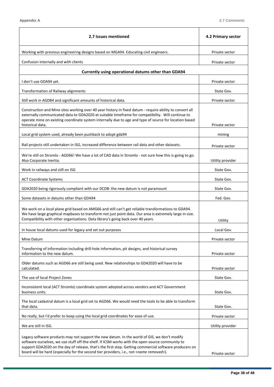| 2.7 Issues mentioned                                                                                                                                                                                                                                                                                                                                                                                            | 4.2 Primary sector |
|-----------------------------------------------------------------------------------------------------------------------------------------------------------------------------------------------------------------------------------------------------------------------------------------------------------------------------------------------------------------------------------------------------------------|--------------------|
| Working with previous engineering designs based on MGA94. Educating civil engineers.                                                                                                                                                                                                                                                                                                                            | Private sector     |
| Confusion internally and with clients                                                                                                                                                                                                                                                                                                                                                                           | Private sector     |
| Currently using operational datums other than GDA94                                                                                                                                                                                                                                                                                                                                                             |                    |
| I don't use GDA94 yet.                                                                                                                                                                                                                                                                                                                                                                                          | Private sector     |
| Transformation of Railway alignments                                                                                                                                                                                                                                                                                                                                                                            | State Gov.         |
| Still work in AGD84 and significant amounts of historical data.                                                                                                                                                                                                                                                                                                                                                 | Private sector     |
| Construction and Mine sites working over 40 year history in fixed datum - require ability to convert all<br>externally communicated data to GDA2020 at suitable timeframe for compatibility. Will continue to<br>operate mine on existing coordinate system internally due to age and type of source for location based<br>historical data.                                                                     | Private sector     |
| Local grid system used, already been pushback to adopt gda94                                                                                                                                                                                                                                                                                                                                                    | mining             |
| Rail projects still undertaken in ISG, increased difference between rail data and other datasets.                                                                                                                                                                                                                                                                                                               | Private sector     |
| We're still on Stromlo - AGD66! We have a lot of CAD data in Stromlo - not sure how this is going to go.<br>Also Corporate Inertia.                                                                                                                                                                                                                                                                             | Utility provider   |
| Work in railways and still on ISG                                                                                                                                                                                                                                                                                                                                                                               | State Gov.         |
| <b>ACT Coordinate Systems</b>                                                                                                                                                                                                                                                                                                                                                                                   | State Gov.         |
| GDA2020 being rigorously compliant with our DCDB: the new datum is not paramount                                                                                                                                                                                                                                                                                                                                | State Gov.         |
| Some datasets in datums other than GDA94                                                                                                                                                                                                                                                                                                                                                                        | Fed. Gov.          |
| We work on a local plane grid based on AMG66 and still can't get reliable transformations to GDA94.<br>We have large graphical mapbases to transform not just point data. Our area is extremely large in size.<br>Compatibility with other organisations. Data library's going back over 40 years.                                                                                                              | Utility            |
| In house local datums used for legacy and set out purposes                                                                                                                                                                                                                                                                                                                                                      | Local Gov.         |
| Mine Datum                                                                                                                                                                                                                                                                                                                                                                                                      | Private sector     |
| Transferring of information including drill-hole information, pit designs, and historical survey<br>information to the new datum.                                                                                                                                                                                                                                                                               | Private sector     |
| Older datums such as AGD66 are still being used. New relationships to GDA2020 will have to be<br>calculated.                                                                                                                                                                                                                                                                                                    | Private sector     |
| The use of local Project Zones                                                                                                                                                                                                                                                                                                                                                                                  | State Gov.         |
| Inconsistent local (ACT Stromlo) coordinate system adopted across vendors and ACT Government<br>business units.                                                                                                                                                                                                                                                                                                 | State Gov.         |
| The local cadastral datum is a local grid set to AGD66. We would need the tools to be able to transform<br>that data.                                                                                                                                                                                                                                                                                           | State Gov.         |
| No really, but I'd prefer to keep using the local grid coordinates for ease of use.                                                                                                                                                                                                                                                                                                                             | Private sector     |
| We are still in ISG.                                                                                                                                                                                                                                                                                                                                                                                            | Utility provider   |
| Legacy software products may not support the new datum. In the world of GIS, we don't modify<br>software ourselves, we use stuff off-the-shelf. If ICSM works with the open-source community to<br>support GDA2020 on the day of release, that's the first step. Getting commercial software producers on<br>board will be hard (especially for the second tier providers, i.e., not <name removed="">).</name> | Private sector     |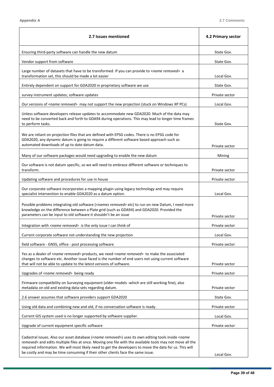$\overline{\phantom{0}}$ 

| 2.7 Issues mentioned                                                                                                                                                                                                                                                                                                                                                                                                                   | 4.2 Primary sector |
|----------------------------------------------------------------------------------------------------------------------------------------------------------------------------------------------------------------------------------------------------------------------------------------------------------------------------------------------------------------------------------------------------------------------------------------|--------------------|
| Ensuring third-party software can handle the new datum                                                                                                                                                                                                                                                                                                                                                                                 | State Gov.         |
| Vendor support from software                                                                                                                                                                                                                                                                                                                                                                                                           | State Gov.         |
| Large number of datasets that have to be transformed. If you can provide to <name removed=""> a<br/>transformation set, this should be made a lot easier</name>                                                                                                                                                                                                                                                                        | Local Gov.         |
| Entirely dependent on support for GDA2020 in proprietary software we use                                                                                                                                                                                                                                                                                                                                                               | State Gov.         |
| survey instrument updates; software updates                                                                                                                                                                                                                                                                                                                                                                                            | Private sector     |
| Our versions of <name removed=""> may not support the new projection (stuck on Windows XP PCs)</name>                                                                                                                                                                                                                                                                                                                                  | Local Gov.         |
| Unless software developers release updates to accommodate new GDA2020. Much of the data may<br>need to be converted back and forth to GDA94 during operations. This may lead to longer time frames<br>to perform tasks.                                                                                                                                                                                                                | State Gov.         |
| We are reliant on projection files that are defined with EPSG codes. There is no EPSG code for<br>GDA2020, any dynamic datum is going to require a different software based approach such as<br>automated downloads of up to date datum data.                                                                                                                                                                                          | Private sector     |
| Many of our software packages would need upgrading to enable the new datum                                                                                                                                                                                                                                                                                                                                                             | Mining             |
| Our software is not datum specific, so we will need to embrace different software or techniques to<br>transform.                                                                                                                                                                                                                                                                                                                       | Private sector     |
| Updating software and procedures for use in house                                                                                                                                                                                                                                                                                                                                                                                      | Private sector     |
| Our corporate software incorporates a mapping plugin using legacy technology and may require<br>specialist intervention to enable GDA2020 as a datum option.                                                                                                                                                                                                                                                                           | Local Gov.         |
| Possible problems integrating old software ( <names removed=""> etc) to run on new Datum, I need more<br/>knowledge on the difference between a Plate grid (such as GDA94) and GDA2020. Provided the<br/>parameters can be input to old software it shouldn't be an issue</names>                                                                                                                                                      | Private sector     |
| Integration with <name removed=""> is the only issue I can think of</name>                                                                                                                                                                                                                                                                                                                                                             | Private sector     |
| Current corporate software not understanding the new projection                                                                                                                                                                                                                                                                                                                                                                        | Local Gov.         |
| field software - GNSS, office - post processing software                                                                                                                                                                                                                                                                                                                                                                               | Private sector     |
| Yes as a dealer of <name removed=""> products, we need <name removed=""> to make the associated<br/>changes to software etc. Another issue faced is the number of end users not using current software<br/>that will not be able to update to the latest versions of software.</name></name>                                                                                                                                           | Private sector     |
| Upgrades of <name removed=""> being ready</name>                                                                                                                                                                                                                                                                                                                                                                                       | Private sector     |
| Firmware compatibility on Surveying equipment (older models -which are still working fine), also<br>metadata on old and existing data-sets regarding datum.                                                                                                                                                                                                                                                                            | Private sector     |
| 2.6 answer assumes that software providers support GDA2020                                                                                                                                                                                                                                                                                                                                                                             | State Gov.         |
| Using old data and combining new and old, if no conversation software is ready.                                                                                                                                                                                                                                                                                                                                                        | Private sector     |
| Current GIS system used is no longer supported by software supplier.                                                                                                                                                                                                                                                                                                                                                                   | Local Gov.         |
| Upgrade of current equipment specific software                                                                                                                                                                                                                                                                                                                                                                                         | Private sector     |
| Cadastral issues. Also our asset database ( <name removed="">) uses its own editing tools inside <name<br>removed&gt; and edits multiple files at once. Moving one file with the available tools may not move all the<br/>required information. We will most likely need to get the developers to move the data for us. This will<br/>be costly and may be time consuming if their other clients face the same issue.</name<br></name> | Local Gov.         |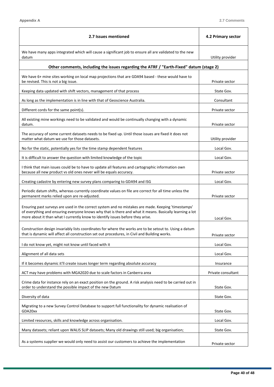| 2.7 Issues mentioned                                                                                                                                                                                                                                                                             | 4.2 Primary sector |
|--------------------------------------------------------------------------------------------------------------------------------------------------------------------------------------------------------------------------------------------------------------------------------------------------|--------------------|
| We have many apps integrated which will cause a significant job to ensure all are validated to the new<br>datum                                                                                                                                                                                  | Utility provider   |
| Other comments, including the issues regarding the ATRF / "Earth-Fixed" datum (stage 2)                                                                                                                                                                                                          |                    |
| We have 6+ mine sites working on local map projections that are GDA94 based - these would have to<br>be revised. This is not a big issue.                                                                                                                                                        | Private sector     |
| Keeping data updated with shift vectors, management of that process                                                                                                                                                                                                                              | State Gov.         |
| As long as the implementation is in line with that of Geoscience Australia.                                                                                                                                                                                                                      | Consultant         |
| Different cords for the same point(s).                                                                                                                                                                                                                                                           | Private sector     |
| All existing mine workings need to be validated and would be continually changing with a dynamic<br>datum.                                                                                                                                                                                       | Private sector     |
| The accuracy of some current datasets needs to be fixed up. Until those issues are fixed it does not<br>matter what datum we use for those datasets.                                                                                                                                             | Utility provider   |
| No for the static, potentially yes for the time stamp dependent features                                                                                                                                                                                                                         | Local Gov.         |
| It is difficult to answer the question with limited knowledge of the topic                                                                                                                                                                                                                       | Local Gov.         |
| I think that main issues could be to have to update all features and cartographic information own<br>because all new product vs old ones never will be equals accuracy.                                                                                                                          | Private sector     |
| Creating cadastre by entering new survey plans comparing to GDA94 and ISG                                                                                                                                                                                                                        | Local Gov.         |
| Periodic datum shifts, whereas currently coordinate values on file are correct for all time unless the<br>permanent marks relied upon are re-adjusted.                                                                                                                                           | Private sector     |
| Ensuring past surveys are used in the correct system and no mistakes are made. Keeping 'timestamps'<br>of everything and ensuring everyone knows why that is there and what it means. Basically learning a lot<br>more about it than what I currently know to identify issues before they arise. | Local Gov.         |
| Construction design invariably lists coordinates for where the works are to be setout to. Using a datum<br>that is dynamic will affect all construction set out procedures, in Civil and Building works.                                                                                         | Private sector     |
| I do not know yet, might not know until faced with it                                                                                                                                                                                                                                            | Local Gov.         |
| Alignment of all data sets                                                                                                                                                                                                                                                                       | Local Gov.         |
| If it becomes dynamic it'll create issues longer term regarding absolute accuracy                                                                                                                                                                                                                | Insurance          |
| ACT may have problems with MGA2020 due to scale factors in Canberra area                                                                                                                                                                                                                         | Private consultant |
| Crime data for instance rely on an exact position on the ground. A risk analysis need to be carried out in<br>order to understand the possible impact of the new Datum                                                                                                                           | State Gov.         |
| Diversity of data                                                                                                                                                                                                                                                                                | State Gov.         |
| Migrating to a new Survey Control Database to support full functionality for dynamic realisation of<br>GDA20xx                                                                                                                                                                                   | State Gov.         |
| Limited resources, skills and knowledge across organisation.                                                                                                                                                                                                                                     | Local Gov.         |
| Many datasets; reliant upon WALIS SLIP datasets; Many old drawings still used; big organisation;                                                                                                                                                                                                 | State Gov.         |
| As a systems supplier we would only need to assist our customers to achieve the implementation                                                                                                                                                                                                   | Private sector     |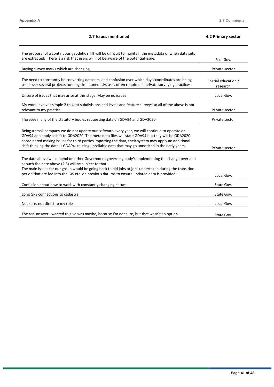| 2.7 Issues mentioned                                                                                                                                                                                                                                                                                                                                                                                               | 4.2 Primary sector              |
|--------------------------------------------------------------------------------------------------------------------------------------------------------------------------------------------------------------------------------------------------------------------------------------------------------------------------------------------------------------------------------------------------------------------|---------------------------------|
| The proposal of a continuous geodetic shift will be difficult to maintain the metadata of when data sets<br>are extracted. There is a risk that users will not be aware of the potential issue.                                                                                                                                                                                                                    | Fed. Gov.                       |
| Buying survey marks which are changing                                                                                                                                                                                                                                                                                                                                                                             | Private sector                  |
| The need to constantly be converting datasets, and confusion over which day's coordinates are being<br>used over several projects running simultaneously, as is often required in private surveying practices.                                                                                                                                                                                                     | Spatial education /<br>research |
| Unsure of issues that may arise at this stage. May be no issues                                                                                                                                                                                                                                                                                                                                                    | Local Gov.                      |
| My work involves simple 2 to 4 lot subdivisions and levels and feature surveys so all of the above is not<br>relevant to my practice.                                                                                                                                                                                                                                                                              | Private sector                  |
| I foresee many of the statutory bodies requesting data on GDA94 and GDA2020                                                                                                                                                                                                                                                                                                                                        | Private sector                  |
| Being a small company we do not update our software every year, we will continue to operate on<br>GDA94 and apply a shift to GDA2020. The meta data files will state GDA94 but they will be GDA2020<br>coordinated making issues for third parties importing the data, their system may apply an additional<br>shift thinking the data is GDA94, causing unreliable data that may go unnoticed in the early years. | Private sector                  |
| The date above will depend on other Government governing body's implementing the change-over and<br>as such the date above (2.5) will be subject to that.<br>The main issues for our group would be going back to old jobs or jobs undertaken during the transition<br>period that are fed into the GIS etc. on previous datums to ensure updated data is provided.                                                | Local Gov.                      |
| Confusion about how to work with constantly changing datum                                                                                                                                                                                                                                                                                                                                                         | State Gov.                      |
| Long GPS connections to cadastre                                                                                                                                                                                                                                                                                                                                                                                   | State Gov.                      |
| Not sure, not direct to my role                                                                                                                                                                                                                                                                                                                                                                                    | Local Gov.                      |
| The real answer I wanted to give was maybe, because I'm not sure, but that wasn't an option                                                                                                                                                                                                                                                                                                                        | State Gov.                      |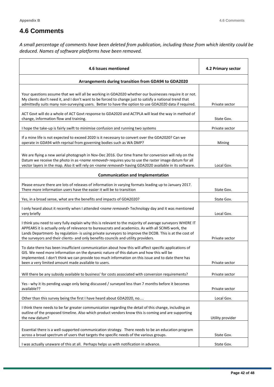## **4.6 Comments**

*A small percentage of comments have been deleted from publication, including those from which identity could be deduced. Names of software platforms have been removed.*

| 4.6 Issues mentioned                                                                                                                                                                                                                                                                                                                                                                                             | 4.2 Primary sector |
|------------------------------------------------------------------------------------------------------------------------------------------------------------------------------------------------------------------------------------------------------------------------------------------------------------------------------------------------------------------------------------------------------------------|--------------------|
| Arrangements during transition from GDA94 to GDA2020                                                                                                                                                                                                                                                                                                                                                             |                    |
| Your questions assume that we will all be working in GDA2020 whether our businesses require it or not.<br>My clients don't need it, and I don't want to be forced to change just to satisfy a national trend that<br>admittedly suits many non-surveying users. Better to have the option to use GDA2020 data if required.                                                                                       | Private sector     |
| ACT Govt will do a whole of ACT Govt response to GDA2020 and ACTPLA will lead the way in method of<br>change, information flow and training.                                                                                                                                                                                                                                                                     | State Gov.         |
| I hope the take-up is fairly swift to minimise confusion and running two systems                                                                                                                                                                                                                                                                                                                                 | Private sector     |
| If a mine life is not expected to exceed 2020 is it necessary to convert over the GDA2020? Can we<br>operate in GDA94 with reprisal from governing bodies such as WA DMP?                                                                                                                                                                                                                                        | Mining             |
| We are flying a new aerial photograph in Nov-Dec 2016. Our time frame for conversion will rely on the<br>Datum we receive the photo in as <name removed=""> requires you to use the raster image datum for all<br/>vector layers in the map. Also it will rely on <name removed=""> having GDA2020 available in its software.</name></name>                                                                      | Local Gov.         |
| <b>Communication and Implementation</b>                                                                                                                                                                                                                                                                                                                                                                          |                    |
| Please ensure there are lots of releases of information in varying formats leading up to January 2017.<br>There more information users have the easier it will be to transition                                                                                                                                                                                                                                  | State Gov.         |
| Yes, in a broad sense, what are the benefits and impacts of GDA2020?                                                                                                                                                                                                                                                                                                                                             | State Gov.         |
| I only heard about it recently when I attended <name removed=""> Technology day and it was mentioned<br/>very briefly</name>                                                                                                                                                                                                                                                                                     | Local Gov.         |
| I think you need to very fully explain why this is relevant to the majority of average surveyors WHERE IT<br>APPEARS it is actually only of relevance to bureaucrats and academics. As with all SCIMS work, the<br>Lands Department- by regulation- is using private surveyors to improve the DCDB. This is at the cost of<br>the surveyors and their clients- and only benefits councils and utility providers. | Private sector     |
| To date there has been insufficient communication about how this will affect specific applications of<br>GIS. We need more information on the dynamic nature of this datum and how this will be<br>implemented. I don't think we can provide too much information on this issue and to date there has<br>been a very limited amount made available to users.                                                     | Private sector     |
| Will there be any subsidy available to business' for costs associated with conversion requirements?                                                                                                                                                                                                                                                                                                              | Private sector     |
| Yes - why it its pending usage only being discussed / surveyed less than 7 months before it becomes<br>available??                                                                                                                                                                                                                                                                                               | Private sector     |
| Other than this survey being the first I have heard about GDA2020, no                                                                                                                                                                                                                                                                                                                                            | Local Gov.         |
| I think there needs to be far greater communication regarding the detail of this change, including an<br>outline of the proposed timeline. Also which product vendors know this is coming and are supporting<br>the new datum?                                                                                                                                                                                   | Utility provider   |
| Essential there is a well-supported communication strategy. There needs to be an education program<br>across a broad spectrum of users that targets the specific needs of the various groups.                                                                                                                                                                                                                    | State Gov.         |
| I was actually unaware of this at all. Perhaps helps us with notification in advance.                                                                                                                                                                                                                                                                                                                            | State Gov.         |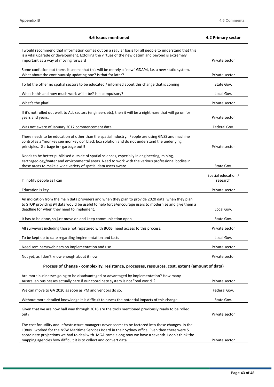| 4.6 Issues mentioned                                                                                                                                                                                                                                                                                                                                                                    | 4.2 Primary sector              |
|-----------------------------------------------------------------------------------------------------------------------------------------------------------------------------------------------------------------------------------------------------------------------------------------------------------------------------------------------------------------------------------------|---------------------------------|
| I would recommend that information comes out on a regular basis for all people to understand that this<br>is a vital upgrade or development. Extolling the virtues of the new datum and beyond is extremely                                                                                                                                                                             |                                 |
| important as a way of moving forward                                                                                                                                                                                                                                                                                                                                                    | Private sector                  |
| Some confusion out there. It seems that this will be merely a "new" GDA94, i.e. a new static system.<br>What about the continuously updating one? Is that for later?                                                                                                                                                                                                                    | Private sector                  |
| To let the other no spatial sectors to be educated / informed about this change that is coming                                                                                                                                                                                                                                                                                          | State Gov.                      |
| What is this and how much work will it be? Is it compulsory?                                                                                                                                                                                                                                                                                                                            | Local Gov.                      |
| What's the plan!                                                                                                                                                                                                                                                                                                                                                                        | Private sector                  |
| If it's not rolled out well, to ALL sectors (engineers etc), then it will be a nightmare that will go on for<br>years and years.                                                                                                                                                                                                                                                        | Private sector                  |
| Was not aware of January 2017 commencement date                                                                                                                                                                                                                                                                                                                                         | Federal Gov.                    |
| There needs to be education of other than the spatial industry. People are using GNSS and machine<br>control as a "monkey see monkey do" black box solution and do not understand the underlying<br>principles. Garbage in - garbage out!!                                                                                                                                              | Private sector                  |
| Needs to be better publicised outside of spatial sciences, especially in engineering, mining,<br>earth/geology/water and environmental areas. Need to work with the various professional bodies in<br>these areas to make a wide variety of spatial data users aware.                                                                                                                   | State Gov.                      |
| I'll notify people as I can                                                                                                                                                                                                                                                                                                                                                             | Spatial education /<br>research |
| Education is key                                                                                                                                                                                                                                                                                                                                                                        | Private sector                  |
| An indication from the main data providers and when they plan to provide 2020 data, when they plan<br>to STOP providing 94 data would be useful to help force/encourage users to modernise and give them a<br>deadline for when they need to implement.                                                                                                                                 | Local Gov.                      |
| It has to be done, so just move on and keep communication open                                                                                                                                                                                                                                                                                                                          | State Gov.                      |
| All surveyors including those not registered with BOSSI need access to this process.                                                                                                                                                                                                                                                                                                    | Private sector                  |
| To be kept up to date regarding implementation and facts                                                                                                                                                                                                                                                                                                                                | Local Gov.                      |
| Need seminars/webinars on implementation and use                                                                                                                                                                                                                                                                                                                                        | Private sector                  |
| Not yet, as I don't know enough about it now                                                                                                                                                                                                                                                                                                                                            | Private sector                  |
| Process of Change - complexity, resistance, processes, resources, cost, extent (amount of data)                                                                                                                                                                                                                                                                                         |                                 |
| Are more businesses going to be disadvantaged or advantaged by implementation? How many<br>Australian businesses actually care if our coordinate system is not "real world"?                                                                                                                                                                                                            | Private sector                  |
| We can move to GA 2020 as soon as PM and vendors do so.                                                                                                                                                                                                                                                                                                                                 | Federal Gov.                    |
| Without more detailed knowledge it is difficult to assess the potential impacts of this change.                                                                                                                                                                                                                                                                                         | State Gov.                      |
| Given that we are now half way through 2016 are the tools mentioned previously ready to be rolled<br>out?                                                                                                                                                                                                                                                                               | Private sector                  |
| The cost for utility and infrastructure managers never seems to be factored into these changes. In the<br>1980s I worked for the NSW Maritime Services Board in their Sydney office. Even then there were 5<br>coordinate projections we had to deal with. MGA came along now we have a seventh. I don't think the<br>mapping agencies how difficult it is to collect and convert data. | Private sector                  |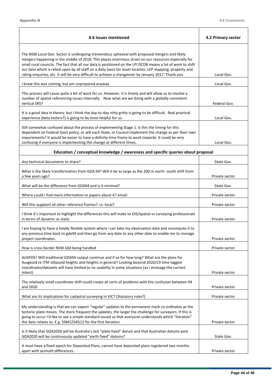$\blacksquare$ 

٦

| 4.6 Issues mentioned                                                                                                                                                                                                                                                                                                                                                                                                                                                                                                                     | 4.2 Primary sector |
|------------------------------------------------------------------------------------------------------------------------------------------------------------------------------------------------------------------------------------------------------------------------------------------------------------------------------------------------------------------------------------------------------------------------------------------------------------------------------------------------------------------------------------------|--------------------|
| The NSW Local Gov. Sector is undergoing tremendous upheaval with proposed mergers and likely<br>mergers happening in the middle of 2016. This places enormous strain on our resources especially for<br>small rural councils. The fact that all our data is positioned on the LPI DCDB means a lot of work to shift<br>our data which is relied upon by all staff on a daily basis for asset location, LEP mapping, property and<br>rating enquiries, etc. It will be very difficult to achieve a changeover by January 2017. Thank you. | Local Gov.         |
| I knew this was coming, but am unprepared anyway                                                                                                                                                                                                                                                                                                                                                                                                                                                                                         | Local Gov.         |
| This process will cause quite a bit of work for us. However, it is timely and will allow us to resolve a<br>number of spatial referencing issues internally. Now what are we doing with a globally consistent<br>vertical SRS?                                                                                                                                                                                                                                                                                                           | Federal Gov.       |
| It is a good idea in theory, but I think the day-to-day nitty gritty is going to be difficult. Real practical<br>experience (beta testers?) is going to be most helpful for us.                                                                                                                                                                                                                                                                                                                                                          | Local Gov.         |
| Still somewhat confused about the process of implementing Stage 1. Is this the timing for this<br>dependent on Federal Govt policy, or will each State, or Council implement the change as per their own<br>requirements? It would be easier to have a definite time frame to work towards. It could be very<br>confusing if everyone is implementing the change at different times.                                                                                                                                                     | Local Gov.         |
| Education / conceptual knowledge / awareness and specific queries about proposal                                                                                                                                                                                                                                                                                                                                                                                                                                                         |                    |
| Any technical documents to share?                                                                                                                                                                                                                                                                                                                                                                                                                                                                                                        | State Gov.         |
| What is the likely transformation from GDA 94? Will it be as large as the 200 m north- south shift from<br>a few years ago?                                                                                                                                                                                                                                                                                                                                                                                                              | Private sector     |
| What will be the difference from GDA94 and is it minimal?                                                                                                                                                                                                                                                                                                                                                                                                                                                                                | State Gov.         |
| Where could I find more information or papers about it? email:                                                                                                                                                                                                                                                                                                                                                                                                                                                                           | Private sector     |
| Will this supplant all other reference frames? i.e. local?                                                                                                                                                                                                                                                                                                                                                                                                                                                                               | Private sector     |
| I think it's important to highlight the differences this will make to GIS/Spatial vs surveying professionals<br>in terms of dynamic vs static.                                                                                                                                                                                                                                                                                                                                                                                           | Private sector     |
| I am hoping to have a totally flexible system where i can take my observation data and recompute it to<br>any previous time back to gda94 and then go from any date to any other date to enable me to manage<br>project coordinates.                                                                                                                                                                                                                                                                                                     | Private sector     |
| How is cross border NSW-Qld being handled                                                                                                                                                                                                                                                                                                                                                                                                                                                                                                | Private sector     |
| AUSPOS? Will traditional GDA94 output continue and if so for how long? What are the plans for<br>Ausgeoid re ITRF ellipsoid heights and heights in general? Looking beyond 2020/23 time tagged<br>coordinates/datasets will have limited to no usability in some situations (as I envisage the current<br>intent)                                                                                                                                                                                                                        | Private sector     |
| The relatively small coordinate shift could create all sorts of problems with the confusion between 94<br>and 2020                                                                                                                                                                                                                                                                                                                                                                                                                       | Private sector     |
| What are its implications for cadastral surveying in VIC? (Statutory rules?)                                                                                                                                                                                                                                                                                                                                                                                                                                                             | Private sector     |
| My understanding is that we can expect "regular" updates to the permanent mark co-ordinates as the<br>tectonic plate moves. The more frequent the updates, the larger the challenge for surveyors. If this is<br>going to occur I'd like to see a simple standard issued so that everyone understands which "iteration"<br>the data relates to. E.g. SSM12345(1) for the first iteration.                                                                                                                                                | Private sector     |
| Is it likely that GDA2020 will be Australia's last "plate fixed" datum and that Australian datums post<br>GDA2020 will be continuously updated "earth fixed" datums?                                                                                                                                                                                                                                                                                                                                                                     | State Gov.         |
| It must have a fixed epoch for Deposited Plans, cannot have deposited plans registered two months<br>apart with azimuth differences.                                                                                                                                                                                                                                                                                                                                                                                                     | Private sector     |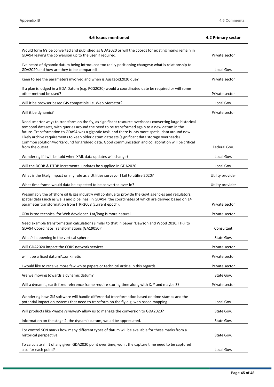$\overline{a}$ 

 $\top$ 

 $\overline{\phantom{a}}$ 

| 4.6 Issues mentioned                                                                                                                                                                                                                                                                                                                                                                                                                                                                                                                          | 4.2 Primary sector |
|-----------------------------------------------------------------------------------------------------------------------------------------------------------------------------------------------------------------------------------------------------------------------------------------------------------------------------------------------------------------------------------------------------------------------------------------------------------------------------------------------------------------------------------------------|--------------------|
| Would form 6's be converted and published as GDA2020 or will the coords for existing marks remain in<br>GDA94 leaving the conversion up to the user if required.                                                                                                                                                                                                                                                                                                                                                                              | Private sector     |
| I've heard of dynamic datum being introduced too (daily positioning changes); what is relationship to<br>GDA2020 and how are they to be compared?                                                                                                                                                                                                                                                                                                                                                                                             | Local Gov.         |
| Keen to see the parameters involved and when is Ausgeoid2020 due?                                                                                                                                                                                                                                                                                                                                                                                                                                                                             | Private sector     |
| If a plan is lodged in a GDA Datum (e.g. PCG2020) would a coordinated date be required or will some<br>other method be used?                                                                                                                                                                                                                                                                                                                                                                                                                  | Private sector     |
| Will it be browser based GIS compatible i.e. Web Mercator?                                                                                                                                                                                                                                                                                                                                                                                                                                                                                    | Local Gov.         |
| Will it be dynamic?                                                                                                                                                                                                                                                                                                                                                                                                                                                                                                                           | Private sector     |
| Need smarter ways to transform on the fly, as significant resource overheads converting large historical<br>temporal datasets, with queries around the need to be transformed again to a new datum in the<br>future. Transformation to GDA94 was a gigantic task, and there is lots more spatial data around now.<br>Likely archive requirements to keep older datum datasets (significant data storage overheads).<br>Common solution/workaround for gridded data. Good communication and collaboration will be critical<br>from the outset. | Federal Gov.       |
| Wondering if I will be told when XML data updates will change?                                                                                                                                                                                                                                                                                                                                                                                                                                                                                | Local Gov.         |
| Will the DCDB & DTDB incremental updates be supplied in GDA2020                                                                                                                                                                                                                                                                                                                                                                                                                                                                               | Local Gov.         |
| What is the likely impact on my role as a Utilities surveyor I fail to utilise 2020?                                                                                                                                                                                                                                                                                                                                                                                                                                                          | Utility provider   |
| What time frame would data be expected to be converted over in?                                                                                                                                                                                                                                                                                                                                                                                                                                                                               | Utility provider   |
| Presumably the offshore oil & gas industry will continue to provide the Govt agencies and regulators,<br>spatial data (such as wells and pipelines) in GDA94, the coordinates of which are derived based on 14<br>parameter transformation from ITRF2008 (current epoch).                                                                                                                                                                                                                                                                     | Private sector     |
| GDA is too technical for Web developer. Lat/long is more natural.                                                                                                                                                                                                                                                                                                                                                                                                                                                                             | Private sector     |
| Need example transformation calculations similar to that in paper "Dawson and Wood 2010, ITRF to<br>GDA94 Coordinate Transformations (GA19050)"                                                                                                                                                                                                                                                                                                                                                                                               | Consultant         |
| What's happening in the vertical sphere                                                                                                                                                                                                                                                                                                                                                                                                                                                                                                       | State Gov.         |
| Will GDA2020 impact the CORS network services                                                                                                                                                                                                                                                                                                                                                                                                                                                                                                 | Private sector     |
| will it be a fixed datum?or kinetic                                                                                                                                                                                                                                                                                                                                                                                                                                                                                                           | Private sector     |
| I would like to receive more few white papers or technical article in this regards                                                                                                                                                                                                                                                                                                                                                                                                                                                            | Private sector     |
| Are we moving towards a dynamic datum?                                                                                                                                                                                                                                                                                                                                                                                                                                                                                                        | State Gov.         |
| Will a dynamic, earth fixed reference frame require storing time along with X, Y and maybe Z?                                                                                                                                                                                                                                                                                                                                                                                                                                                 | Private sector     |
| Wondering how GIS software will handle differential transformation based on time stamps and the<br>potential impact on systems that need to transform on the fly e.g. web based mapping                                                                                                                                                                                                                                                                                                                                                       | Local Gov.         |
| Will products like <name removed=""> allow us to manage the conversion to GDA2020?</name>                                                                                                                                                                                                                                                                                                                                                                                                                                                     | State Gov.         |
| Information on the stage 2, the dynamic datum, would be appreciated.                                                                                                                                                                                                                                                                                                                                                                                                                                                                          | State Gov.         |
| For control SCN marks how many different types of datum will be available for these marks from a<br>historical perspective.                                                                                                                                                                                                                                                                                                                                                                                                                   | State Gov.         |
| To calculate shift of any given GDA2020 point over time, won't the capture time need to be captured<br>also for each point?                                                                                                                                                                                                                                                                                                                                                                                                                   | Local Gov.         |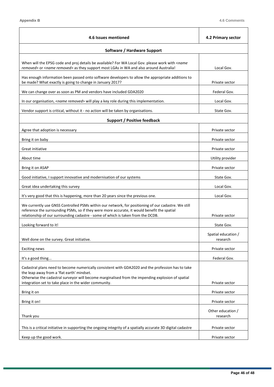| 4.6 Issues mentioned                                                                                                                                                                                                                                                                   | 4.2 Primary sector              |
|----------------------------------------------------------------------------------------------------------------------------------------------------------------------------------------------------------------------------------------------------------------------------------------|---------------------------------|
| Software / Hardware Support                                                                                                                                                                                                                                                            |                                 |
| When will the EPSG code and proj details be available? For WA Local Gov. please work with <name<br>removed&gt; or <name removed=""> as they support most LGAs in WA and also around Australia!</name></name<br>                                                                        | Local Gov.                      |
| Has enough information been passed onto software developers to allow the appropriate additions to<br>be made? What exactly is going to change in January 2017?                                                                                                                         | Private sector                  |
| We can change over as soon as PM and vendors have included GDA2020                                                                                                                                                                                                                     | Federal Gov.                    |
| In our organisation, <name removed=""> will play a key role during this implementation.</name>                                                                                                                                                                                         | Local Gov.                      |
| Vendor support is critical, without it - no action will be taken by organisations.                                                                                                                                                                                                     | State Gov.                      |
| Support / Positive feedback                                                                                                                                                                                                                                                            |                                 |
| Agree that adoption is necessary                                                                                                                                                                                                                                                       | Private sector                  |
| Bring it on baby                                                                                                                                                                                                                                                                       | Private sector                  |
| Great initiative                                                                                                                                                                                                                                                                       | Private sector                  |
| About time                                                                                                                                                                                                                                                                             | Utility provider                |
| Bring it on ASAP                                                                                                                                                                                                                                                                       | Private sector                  |
| Good initiative, I support innovative and modernisation of our systems                                                                                                                                                                                                                 | State Gov.                      |
| Great idea undertaking this survey                                                                                                                                                                                                                                                     | Local Gov.                      |
| It's very good that this is happening, more than 20 years since the previous one.                                                                                                                                                                                                      | Local Gov.                      |
| We currently use GNSS Controlled PSMs within our network, for positioning of our cadastre. We still<br>reference the surrounding PSMs, so if they were more accurate, it would benefit the spatial<br>relationship of our surrounding cadastre - some of which is taken from the DCDB. | Private sector                  |
| Looking forward to it!                                                                                                                                                                                                                                                                 | State Gov.                      |
| Well done on the survey. Great initiative.                                                                                                                                                                                                                                             | Spatial education /<br>research |
| <b>Exciting news</b>                                                                                                                                                                                                                                                                   | Private sector                  |
| It's a good thing                                                                                                                                                                                                                                                                      | Federal Gov.                    |
| Cadastral plans need to become numerically consistent with GDA2020 and the profession has to take<br>the leap away from a 'flat earth' mindset.<br>Otherwise the cadastral surveyor will become marginalised from the impending explosion of spatial                                   |                                 |
| integration set to take place in the wider community.                                                                                                                                                                                                                                  | Private sector                  |
| Bring it on                                                                                                                                                                                                                                                                            | Private sector                  |
| Bring it on!                                                                                                                                                                                                                                                                           | Private sector                  |
| Thank you                                                                                                                                                                                                                                                                              | Other education /<br>research   |
| This is a critical initiative in supporting the ongoing integrity of a spatially accurate 3D digital cadastre                                                                                                                                                                          | Private sector                  |
| Keep up the good work.                                                                                                                                                                                                                                                                 | Private sector                  |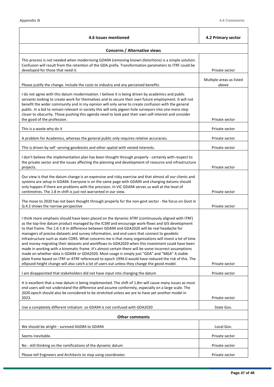$\blacksquare$ 

٦

| 4.6 Issues mentioned                                                                                                                                                                                                                                                                                                                                                                                                                                                                                                                                                                                                                                                                                                                                                                                                                                                                                                                                                                                                                  | 4.2 Primary sector                |
|---------------------------------------------------------------------------------------------------------------------------------------------------------------------------------------------------------------------------------------------------------------------------------------------------------------------------------------------------------------------------------------------------------------------------------------------------------------------------------------------------------------------------------------------------------------------------------------------------------------------------------------------------------------------------------------------------------------------------------------------------------------------------------------------------------------------------------------------------------------------------------------------------------------------------------------------------------------------------------------------------------------------------------------|-----------------------------------|
| <b>Concerns / Alternative views</b>                                                                                                                                                                                                                                                                                                                                                                                                                                                                                                                                                                                                                                                                                                                                                                                                                                                                                                                                                                                                   |                                   |
| This process is not needed when modernising GDA94 (removing known distortions) is a simple solution.<br>Confusion will result from the retention of the GDA prefix. Transformation parameters to ITRF could be<br>developed for those that need it.                                                                                                                                                                                                                                                                                                                                                                                                                                                                                                                                                                                                                                                                                                                                                                                   | Private sector                    |
| Please justify the change. Include the costs to industry and any perceived benefits                                                                                                                                                                                                                                                                                                                                                                                                                                                                                                                                                                                                                                                                                                                                                                                                                                                                                                                                                   | Multiple areas as listed<br>above |
| I do not agree with this datum modernisation. I believe it is being driven by academics and public<br>servants looking to create work for themselves and to secure their own future employment. It will not<br>benefit the wider community and in my opinion will only serve to create confusion with the general<br>public. In a bid to remain relevant in society this will only pigeon hole surveyors into one more step<br>closer to obscurity. Those pushing this agenda need to look past their own self-interest and consider<br>the good of the profession.                                                                                                                                                                                                                                                                                                                                                                                                                                                                   | Private sector                    |
| This is a waste why do it                                                                                                                                                                                                                                                                                                                                                                                                                                                                                                                                                                                                                                                                                                                                                                                                                                                                                                                                                                                                             | Private sector                    |
| A problem for Academics, whereas the general public only requires relative accuracies.                                                                                                                                                                                                                                                                                                                                                                                                                                                                                                                                                                                                                                                                                                                                                                                                                                                                                                                                                | Private sector                    |
| This is driven by self-serving geodesists and other spatial with vested interests.                                                                                                                                                                                                                                                                                                                                                                                                                                                                                                                                                                                                                                                                                                                                                                                                                                                                                                                                                    | Private sector                    |
| I don't believe the implementation plan has been thought through properly - certainly with respect to<br>the private sector and the issues affecting the planning and development of resource and infrastructure<br>projects.                                                                                                                                                                                                                                                                                                                                                                                                                                                                                                                                                                                                                                                                                                                                                                                                         | Private sector                    |
| Our view is that the datum change is an expensive and risky exercise and that almost all our clients and<br>systems are setup in GDA94. Everyone is on the same page with GDA94 and changing datums should<br>only happen if there are problems with the precision. In VIC GDA94 serves us well at the level of<br>centimetres. The 1.8 m shift is just not warranted in our view.                                                                                                                                                                                                                                                                                                                                                                                                                                                                                                                                                                                                                                                    | Private sector                    |
| The move to 2020 has not been thought through properly for the non-govt sector - the focus on Govt in<br>Q.4.2 shows the narrow perspective                                                                                                                                                                                                                                                                                                                                                                                                                                                                                                                                                                                                                                                                                                                                                                                                                                                                                           | Private sector                    |
| I think more emphasis should have been placed on the dynamic ATRF (continuously aligned with ITRF)<br>as the top-line datum product managed by the ICSM and encourage work-flows and GIS development<br>to that frame. The 1.6-1.8 m difference between GDA94 and GDA2020 will be real headache for<br>managers of precise datasets and survey information, and end users that connect to geodetic<br>infrastructure such as state CORS. What concerns me is that many organisations will invest a lot of time<br>and money migrating their datasets and workflows to GDA2020 when this investment could have been<br>made in working with a kinematic frame. It's almost certain there will be some incorrect assumptions<br>made on whether data is GDA94 or GDA2020. Most usage is simply just "GDA" and "MGA" A stable<br>plate frame based on ITRF or ATRF referenced to epoch 1994.0 would have reduced the risk of this. The<br>ellipsoid height change will also catch a lot of users out unless they change the geoid model. | Private sector                    |
| I am disappointed that stakeholders did not have input into changing the datum                                                                                                                                                                                                                                                                                                                                                                                                                                                                                                                                                                                                                                                                                                                                                                                                                                                                                                                                                        | Private sector                    |
| It is excellent that a new datum is being implemented. The shift of 1.8m will cause many issues as most<br>end users will not understand the difference and assume conformity, especially on a large scale. The<br>2020 epoch should also be considered to be stretched unless we are to have yet another model in<br>2023.                                                                                                                                                                                                                                                                                                                                                                                                                                                                                                                                                                                                                                                                                                           | Private sector                    |
| Use a completely different initialism so GDA94 is not confused with GDA2020                                                                                                                                                                                                                                                                                                                                                                                                                                                                                                                                                                                                                                                                                                                                                                                                                                                                                                                                                           | State Gov.                        |
| <b>Other comments</b>                                                                                                                                                                                                                                                                                                                                                                                                                                                                                                                                                                                                                                                                                                                                                                                                                                                                                                                                                                                                                 |                                   |
| We should be alright - survived AGD84 to GDA94                                                                                                                                                                                                                                                                                                                                                                                                                                                                                                                                                                                                                                                                                                                                                                                                                                                                                                                                                                                        | Local Gov.                        |
| Seems inevitable.                                                                                                                                                                                                                                                                                                                                                                                                                                                                                                                                                                                                                                                                                                                                                                                                                                                                                                                                                                                                                     | Private sector                    |
| No - still thinking on the ramifications of the dynamic datum                                                                                                                                                                                                                                                                                                                                                                                                                                                                                                                                                                                                                                                                                                                                                                                                                                                                                                                                                                         | Private sector                    |
| Please tell Engineers and Architects to stop using coordinates                                                                                                                                                                                                                                                                                                                                                                                                                                                                                                                                                                                                                                                                                                                                                                                                                                                                                                                                                                        | Private sector                    |